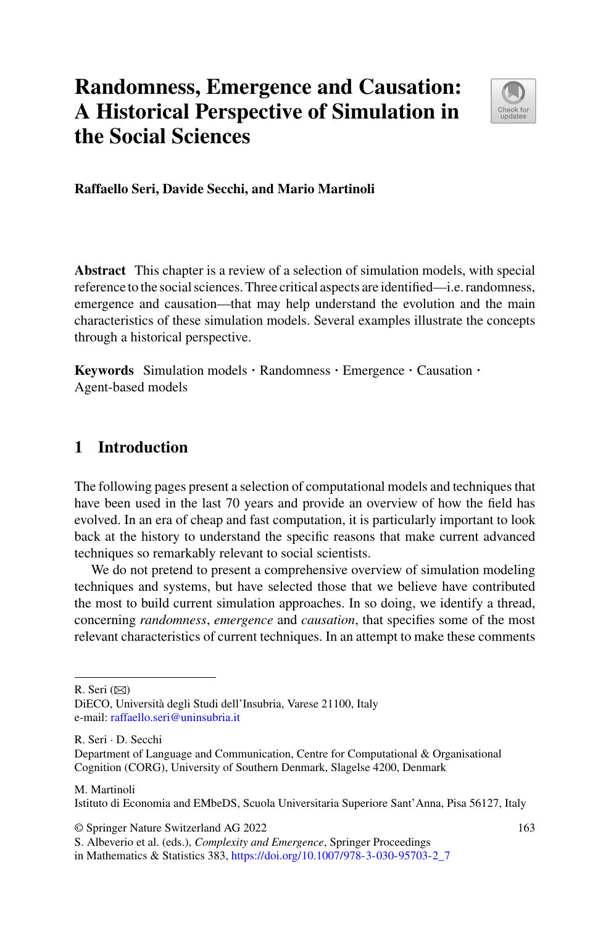# **Randomness, Emergence and Causation: A Historical Perspective of Simulation in the Social Sciences**



**Raffaello Seri, Davide Secchi, and Mario Martinoli**

**Abstract** This chapter is a review of a selection of simulation models, with special reference to the social sciences. Three critical aspects are identified—i.e. randomness, emergence and causation—that may help understand the evolution and the main characteristics of these simulation models. Several examples illustrate the concepts through a historical perspective.

**Keywords** Simulation models · Randomness · Emergence · Causation · Agent-based models

# **1 Introduction**

The following pages present a selection of computational models and techniques that have been used in the last 70 years and provide an overview of how the field has evolved. In an era of cheap and fast computation, it is particularly important to look back at the history to understand the specific reasons that make current advanced techniques so remarkably relevant to social scientists.

We do not pretend to present a comprehensive overview of simulation modeling techniques and systems, but have selected those that we believe have contributed the most to build current simulation approaches. In so doing, we identify a thread, concerning *randomness*, *emergence* and *causation*, that specifies some of the most relevant characteristics of current techniques. In an attempt to make these comments

R. Seri  $(\boxtimes)$ 

R. Seri · D. Secchi

#### M. Martinoli

Istituto di Economia and EMbeDS, Scuola Universitaria Superiore Sant'Anna, Pisa 56127, Italy

© Springer Nature Switzerland AG 2022

DiECO, Università degli Studi dell'Insubria, Varese 21100, Italy e-mail: [raffaello.seri@uninsubria.it](mailto:raffaello.seri@uninsubria.it)

Department of Language and Communication, Centre for Computational & Organisational Cognition (CORG), University of Southern Denmark, Slagelse 4200, Denmark

S. Albeverio et al. (eds.), *Complexity and Emergence*, Springer Proceedings

in Mathematics & Statistics 383, [https://doi.org/10.1007/978-3-030-95703-2\\_7](https://doi.org/10.1007/978-3-030-95703-2_7)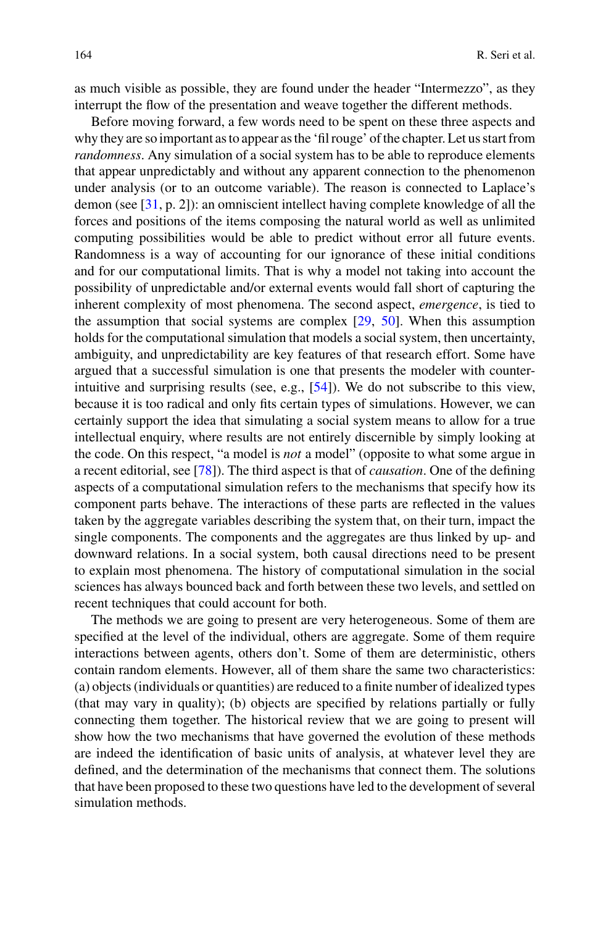as much visible as possible, they are found under the header "Intermezzo", as they interrupt the flow of the presentation and weave together the different methods.

Before moving forward, a few words need to be spent on these three aspects and why they are so important as to appear as the 'fil rouge' of the chapter. Let us start from *randomness*. Any simulation of a social system has to be able to reproduce elements that appear unpredictably and without any apparent connection to the phenomenon under analysis (or to an outcome variable). The reason is connected to Laplace's demon (see [\[31](#page-27-0), p. 2]): an omniscient intellect having complete knowledge of all the forces and positions of the items composing the natural world as well as unlimited computing possibilities would be able to predict without error all future events. Randomness is a way of accounting for our ignorance of these initial conditions and for our computational limits. That is why a model not taking into account the possibility of unpredictable and/or external events would fall short of capturing the inherent complexity of most phenomena. The second aspect, *emergence*, is tied to the assumption that social systems are complex  $[29, 50]$  $[29, 50]$  $[29, 50]$  $[29, 50]$ . When this assumption holds for the computational simulation that models a social system, then uncertainty, ambiguity, and unpredictability are key features of that research effort. Some have argued that a successful simulation is one that presents the modeler with counterintuitive and surprising results (see, e.g., [\[54\]](#page-27-2)). We do not subscribe to this view, because it is too radical and only fits certain types of simulations. However, we can certainly support the idea that simulating a social system means to allow for a true intellectual enquiry, where results are not entirely discernible by simply looking at the code. On this respect, "a model is *not* a model" (opposite to what some argue in a recent editorial, see [\[78\]](#page-28-0)). The third aspect is that of *causation*. One of the defining aspects of a computational simulation refers to the mechanisms that specify how its component parts behave. The interactions of these parts are reflected in the values taken by the aggregate variables describing the system that, on their turn, impact the single components. The components and the aggregates are thus linked by up- and downward relations. In a social system, both causal directions need to be present to explain most phenomena. The history of computational simulation in the social sciences has always bounced back and forth between these two levels, and settled on recent techniques that could account for both.

The methods we are going to present are very heterogeneous. Some of them are specified at the level of the individual, others are aggregate. Some of them require interactions between agents, others don't. Some of them are deterministic, others contain random elements. However, all of them share the same two characteristics: (a) objects (individuals or quantities) are reduced to a finite number of idealized types (that may vary in quality); (b) objects are specified by relations partially or fully connecting them together. The historical review that we are going to present will show how the two mechanisms that have governed the evolution of these methods are indeed the identification of basic units of analysis, at whatever level they are defined, and the determination of the mechanisms that connect them. The solutions that have been proposed to these two questions have led to the development of several simulation methods.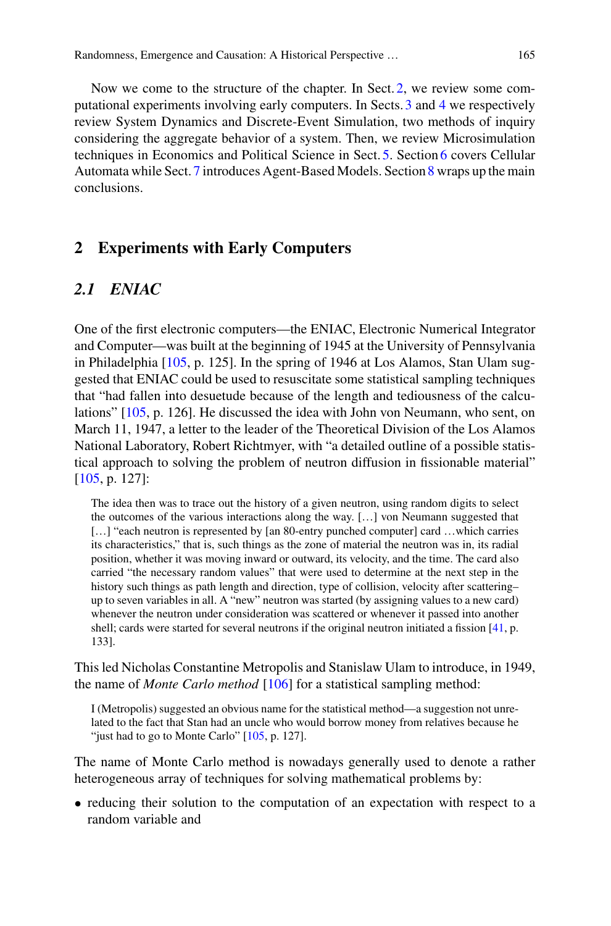Now we come to the structure of the chapter. In Sect. [2,](#page-2-0) we review some computational experiments involving early computers. In Sects. [3](#page-5-0) and [4](#page-9-0) we respectively review System Dynamics and Discrete-Event Simulation, two methods of inquiry considering the aggregate behavior of a system. Then, we review Microsimulation techniques in Economics and Political Science in Sect. [5.](#page-10-0) Section [6](#page-13-0) covers Cellular Automata while Sect. [7](#page-16-0) introduces Agent-Based Models. Section [8](#page-25-0) wraps up the main conclusions.

# <span id="page-2-0"></span>**2 Experiments with Early Computers**

# <span id="page-2-1"></span>*2.1 ENIAC*

One of the first electronic computers—the ENIAC, Electronic Numerical Integrator and Computer—was built at the beginning of 1945 at the University of Pennsylvania in Philadelphia [\[105,](#page-29-0) p. 125]. In the spring of 1946 at Los Alamos, Stan Ulam suggested that ENIAC could be used to resuscitate some statistical sampling techniques that "had fallen into desuetude because of the length and tediousness of the calculations" [\[105](#page-29-0), p. 126]. He discussed the idea with John von Neumann, who sent, on March 11, 1947, a letter to the leader of the Theoretical Division of the Los Alamos National Laboratory, Robert Richtmyer, with "a detailed outline of a possible statistical approach to solving the problem of neutron diffusion in fissionable material" [\[105,](#page-29-0) p. 127]:

The idea then was to trace out the history of a given neutron, using random digits to select the outcomes of the various interactions along the way. […] von Neumann suggested that [...] "each neutron is represented by [an 80-entry punched computer] card ... which carries its characteristics," that is, such things as the zone of material the neutron was in, its radial position, whether it was moving inward or outward, its velocity, and the time. The card also carried "the necessary random values" that were used to determine at the next step in the history such things as path length and direction, type of collision, velocity after scattering– up to seven variables in all. A "new" neutron was started (by assigning values to a new card) whenever the neutron under consideration was scattered or whenever it passed into another shell; cards were started for several neutrons if the original neutron initiated a fission [\[41,](#page-27-3) p. 133].

This led Nicholas Constantine Metropolis and Stanislaw Ulam to introduce, in 1949, the name of *Monte Carlo method* [\[106](#page-30-0)] for a statistical sampling method:

I (Metropolis) suggested an obvious name for the statistical method—a suggestion not unrelated to the fact that Stan had an uncle who would borrow money from relatives because he "just had to go to Monte Carlo" [\[105](#page-29-0), p. 127].

The name of Monte Carlo method is nowadays generally used to denote a rather heterogeneous array of techniques for solving mathematical problems by:

• reducing their solution to the computation of an expectation with respect to a random variable and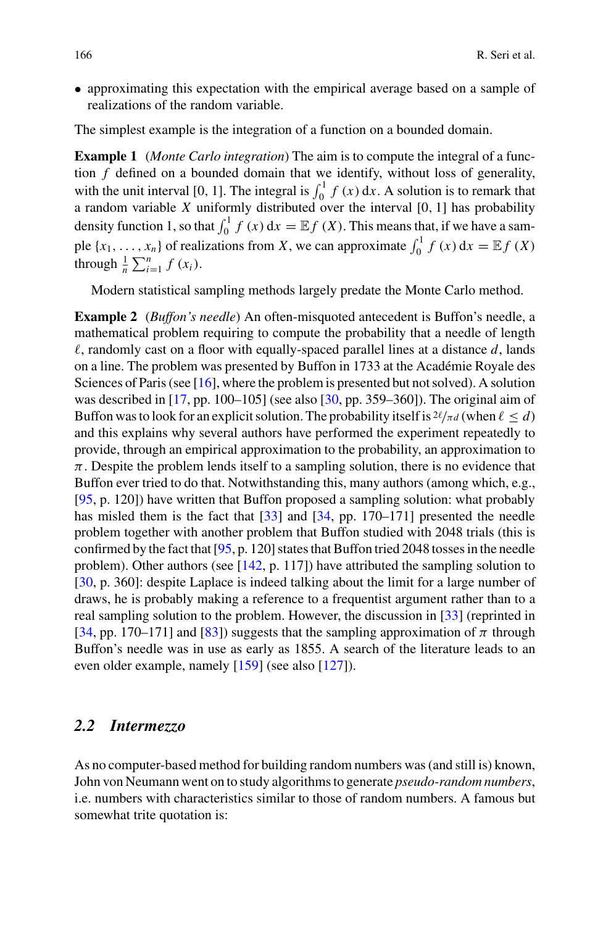• approximating this expectation with the empirical average based on a sample of realizations of the random variable.

The simplest example is the integration of a function on a bounded domain.

**Example 1** (*Monte Carlo integration*) The aim is to compute the integral of a function *f* defined on a bounded domain that we identify, without loss of generality, with the unit interval [0, 1]. The integral is  $\int_0^1 f(x) dx$ . A solution is to remark that a random variable *X* uniformly distributed over the interval [0*,* 1] has probability density function 1, so that  $\int_0^1 f(x) dx = \mathbb{E} f(X)$ . This means that, if we have a sample  $\{x_1, \ldots, x_n\}$  of realizations from *X*, we can approximate  $\int_0^1 f(x) dx = \mathbb{E} f(X)$ through  $\frac{1}{n} \sum_{i=1}^{n} f(x_i)$ .

Modern statistical sampling methods largely predate the Monte Carlo method.

**Example 2** (*Buffon's needle*) An often-misquoted antecedent is Buffon's needle, a mathematical problem requiring to compute the probability that a needle of length  $\ell$ , randomly cast on a floor with equally-spaced parallel lines at a distance  $d$ , lands on a line. The problem was presented by Buffon in 1733 at the Académie Royale des Sciences of Paris (see [\[16](#page-26-1)], where the problem is presented but not solved). A solution was described in [\[17,](#page-26-2) pp. 100–105] (see also [\[30,](#page-26-3) pp. 359–360]). The original aim of Buffon was to look for an explicit solution. The probability itself is  $2\ell/\pi d$  (when  $\ell \leq d$ ) and this explains why several authors have performed the experiment repeatedly to provide, through an empirical approximation to the probability, an approximation to  $\pi$ . Despite the problem lends itself to a sampling solution, there is no evidence that Buffon ever tried to do that. Notwithstanding this, many authors (among which, e.g., [\[95,](#page-29-1) p. 120]) have written that Buffon proposed a sampling solution: what probably has misled them is the fact that [\[33\]](#page-27-4) and [\[34](#page-27-5), pp. 170–171] presented the needle problem together with another problem that Buffon studied with 2048 trials (this is confirmed by the fact that [\[95,](#page-29-1) p. 120] states that Buffon tried 2048 tosses in the needle problem). Other authors (see [\[142,](#page-31-0) p. 117]) have attributed the sampling solution to [\[30,](#page-26-3) p. 360]: despite Laplace is indeed talking about the limit for a large number of draws, he is probably making a reference to a frequentist argument rather than to a real sampling solution to the problem. However, the discussion in [\[33\]](#page-27-4) (reprinted in [\[34,](#page-27-5) pp. 170–171] and [\[83](#page-29-2)]) suggests that the sampling approximation of  $\pi$  through Buffon's needle was in use as early as 1855. A search of the literature leads to an even older example, namely [\[159](#page-32-0)] (see also [\[127](#page-30-1)]).

#### *2.2 Intermezzo*

As no computer-based method for building random numbers was (and still is) known, John von Neumann went on to study algorithms to generate *pseudo-random numbers*, i.e. numbers with characteristics similar to those of random numbers. A famous but somewhat trite quotation is: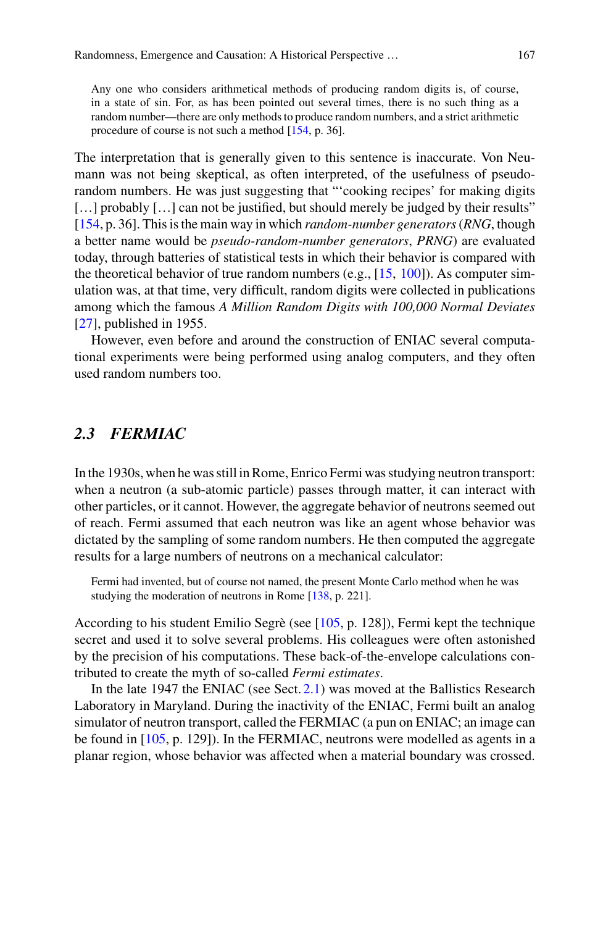Any one who considers arithmetical methods of producing random digits is, of course, in a state of sin. For, as has been pointed out several times, there is no such thing as a random number—there are only methods to produce random numbers, and a strict arithmetic procedure of course is not such a method [\[154](#page-31-1), p. 36].

The interpretation that is generally given to this sentence is inaccurate. Von Neumann was not being skeptical, as often interpreted, of the usefulness of pseudorandom numbers. He was just suggesting that "'cooking recipes' for making digits [...] probably [...] can not be justified, but should merely be judged by their results" [\[154,](#page-31-1) p. 36]. This is the main way in which *random-number generators*(*RNG*, though a better name would be *pseudo-random-number generators*, *PRNG*) are evaluated today, through batteries of statistical tests in which their behavior is compared with the theoretical behavior of true random numbers (e.g.,  $[15, 100]$  $[15, 100]$  $[15, 100]$ ). As computer simulation was, at that time, very difficult, random digits were collected in publications among which the famous *A Million Random Digits with 100,000 Normal Deviates*  $[27]$ , published in 1955.

However, even before and around the construction of ENIAC several computational experiments were being performed using analog computers, and they often used random numbers too.

### *2.3 FERMIAC*

In the 1930s, when he was still in Rome, Enrico Fermi was studying neutron transport: when a neutron (a sub-atomic particle) passes through matter, it can interact with other particles, or it cannot. However, the aggregate behavior of neutrons seemed out of reach. Fermi assumed that each neutron was like an agent whose behavior was dictated by the sampling of some random numbers. He then computed the aggregate results for a large numbers of neutrons on a mechanical calculator:

Fermi had invented, but of course not named, the present Monte Carlo method when he was studying the moderation of neutrons in Rome [\[138](#page-31-2), p. 221].

According to his student Emilio Segrè (see [\[105,](#page-29-0) p. 128]), Fermi kept the technique secret and used it to solve several problems. His colleagues were often astonished by the precision of his computations. These back-of-the-envelope calculations contributed to create the myth of so-called *Fermi estimates*.

In the late 1947 the ENIAC (see Sect. [2.1\)](#page-2-1) was moved at the Ballistics Research Laboratory in Maryland. During the inactivity of the ENIAC, Fermi built an analog simulator of neutron transport, called the FERMIAC (a pun on ENIAC; an image can be found in [\[105](#page-29-0), p. 129]). In the FERMIAC, neutrons were modelled as agents in a planar region, whose behavior was affected when a material boundary was crossed.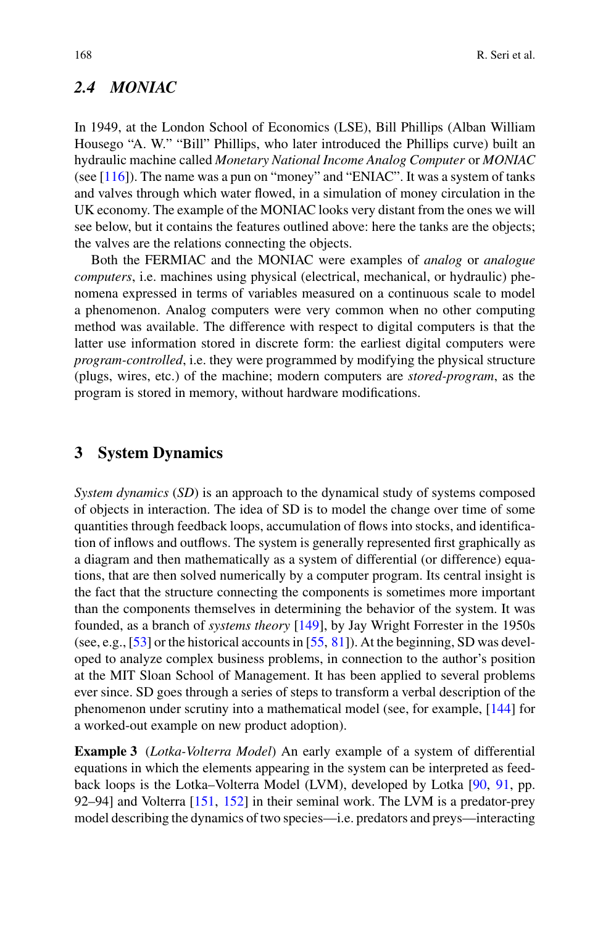### *2.4 MONIAC*

In 1949, at the London School of Economics (LSE), Bill Phillips (Alban William Housego "A. W." "Bill" Phillips, who later introduced the Phillips curve) built an hydraulic machine called *Monetary National Income Analog Computer* or *MONIAC* (see  $[116]$ ). The name was a pun on "money" and "ENIAC". It was a system of tanks and valves through which water flowed, in a simulation of money circulation in the UK economy. The example of the MONIAC looks very distant from the ones we will see below, but it contains the features outlined above: here the tanks are the objects; the valves are the relations connecting the objects.

Both the FERMIAC and the MONIAC were examples of *analog* or *analogue computers*, i.e. machines using physical (electrical, mechanical, or hydraulic) phenomena expressed in terms of variables measured on a continuous scale to model a phenomenon. Analog computers were very common when no other computing method was available. The difference with respect to digital computers is that the latter use information stored in discrete form: the earliest digital computers were *program-controlled*, i.e. they were programmed by modifying the physical structure (plugs, wires, etc.) of the machine; modern computers are *stored-program*, as the program is stored in memory, without hardware modifications.

#### <span id="page-5-0"></span>**3 System Dynamics**

*System dynamics* (*SD*) is an approach to the dynamical study of systems composed of objects in interaction. The idea of SD is to model the change over time of some quantities through feedback loops, accumulation of flows into stocks, and identification of inflows and outflows. The system is generally represented first graphically as a diagram and then mathematically as a system of differential (or difference) equations, that are then solved numerically by a computer program. Its central insight is the fact that the structure connecting the components is sometimes more important than the components themselves in determining the behavior of the system. It was founded, as a branch of *systems theory* [\[149\]](#page-31-3), by Jay Wright Forrester in the 1950s (see, e.g., [\[53\]](#page-27-6) or the historical accounts in [\[55](#page-27-7), [81](#page-29-4)]). At the beginning, SD was developed to analyze complex business problems, in connection to the author's position at the MIT Sloan School of Management. It has been applied to several problems ever since. SD goes through a series of steps to transform a verbal description of the phenomenon under scrutiny into a mathematical model (see, for example, [\[144\]](#page-31-4) for a worked-out example on new product adoption).

**Example 3** (*Lotka-Volterra Model*) An early example of a system of differential equations in which the elements appearing in the system can be interpreted as feedback loops is the Lotka–Volterra Model (LVM), developed by Lotka [\[90](#page-29-5), [91,](#page-29-6) pp. 92–94] and Volterra [\[151,](#page-31-5) [152\]](#page-31-6) in their seminal work. The LVM is a predator-prey model describing the dynamics of two species—i.e. predators and preys—interacting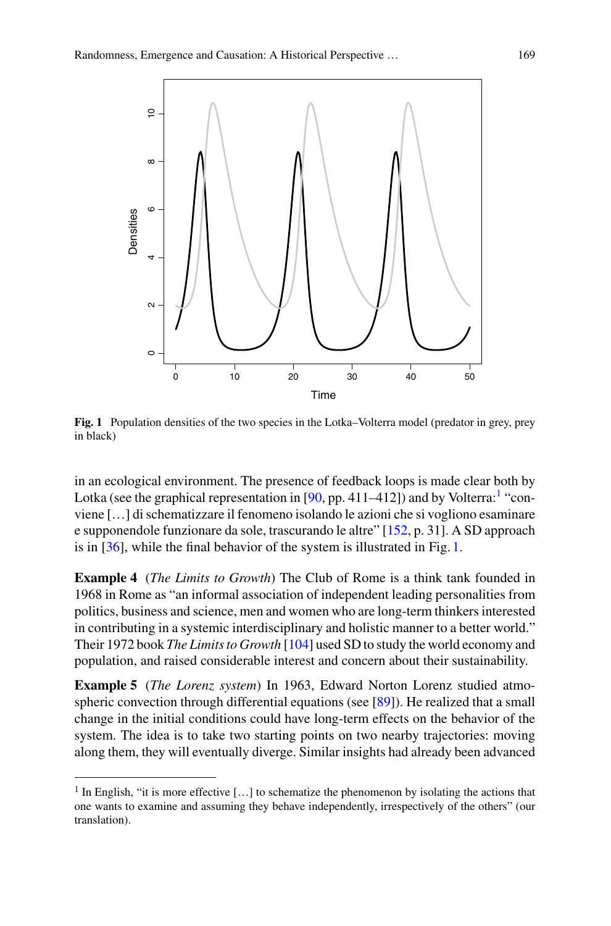

<span id="page-6-1"></span>**Fig. 1** Population densities of the two species in the Lotka–Volterra model (predator in grey, prey in black)

in an ecological environment. The presence of feedback loops is made clear both by Lotka (see the graphical representation in [\[90,](#page-29-5) pp. 4[1](#page-6-0)1–412]) and by Volterra:<sup>1</sup> "conviene […] di schematizzare il fenomeno isolando le azioni che si vogliono esaminare e supponendole funzionare da sole, trascurando le altre" [\[152](#page-31-6), p. 31]. A SD approach is in [\[36](#page-27-8)], while the final behavior of the system is illustrated in Fig. [1.](#page-6-1)

**Example 4** (*The Limits to Growth*) The Club of Rome is a think tank founded in 1968 in Rome as "an informal association of independent leading personalities from politics, business and science, men and women who are long-term thinkers interested in contributing in a systemic interdisciplinary and holistic manner to a better world." Their 1972 book *The Limits to Growth* [\[104](#page-29-7)] used SD to study the world economy and population, and raised considerable interest and concern about their sustainability.

**Example 5** (*The Lorenz system*) In 1963, Edward Norton Lorenz studied atmospheric convection through differential equations (see [\[89](#page-29-8)]). He realized that a small change in the initial conditions could have long-term effects on the behavior of the system. The idea is to take two starting points on two nearby trajectories: moving along them, they will eventually diverge. Similar insights had already been advanced

<span id="page-6-0"></span> $<sup>1</sup>$  In English, "it is more effective [...] to schematize the phenomenon by isolating the actions that</sup> one wants to examine and assuming they behave independently, irrespectively of the others" (our translation).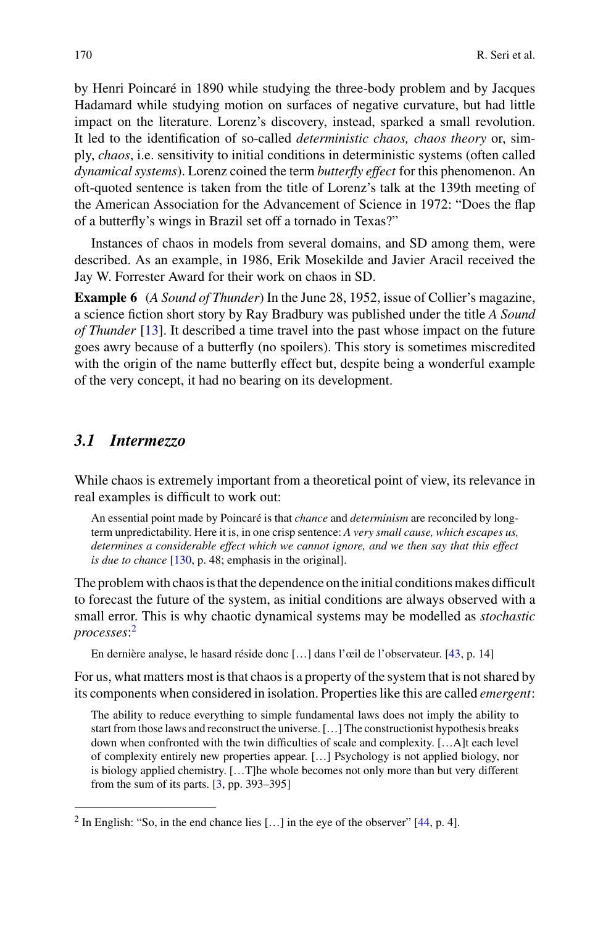by Henri Poincaré in 1890 while studying the three-body problem and by Jacques Hadamard while studying motion on surfaces of negative curvature, but had little impact on the literature. Lorenz's discovery, instead, sparked a small revolution. It led to the identification of so-called *deterministic chaos, chaos theory* or, simply, *chaos*, i.e. sensitivity to initial conditions in deterministic systems (often called *dynamical systems*). Lorenz coined the term *butterfly effect* for this phenomenon. An oft-quoted sentence is taken from the title of Lorenz's talk at the 139th meeting of the American Association for the Advancement of Science in 1972: "Does the flap of a butterfly's wings in Brazil set off a tornado in Texas?"

Instances of chaos in models from several domains, and SD among them, were described. As an example, in 1986, Erik Mosekilde and Javier Aracil received the Jay W. Forrester Award for their work on chaos in SD.

**Example 6** (*A Sound of Thunder*) In the June 28, 1952, issue of Collier's magazine, a science fiction short story by Ray Bradbury was published under the title *A Sound of Thunder* [\[13](#page-26-6)]. It described a time travel into the past whose impact on the future goes awry because of a butterfly (no spoilers). This story is sometimes miscredited with the origin of the name butterfly effect but, despite being a wonderful example of the very concept, it had no bearing on its development.

#### *3.1 Intermezzo*

While chaos is extremely important from a theoretical point of view, its relevance in real examples is difficult to work out:

An essential point made by Poincaré is that *chance* and *determinism* are reconciled by longterm unpredictability. Here it is, in one crisp sentence: *A very small cause, which escapes us, determines a considerable effect which we cannot ignore, and we then say that this effect is due to chance* [\[130,](#page-30-3) p. 48; emphasis in the original].

The problem with chaos is that the dependence on the initial conditions makes difficult to forecast the future of the system, as initial conditions are always observed with a small error. This is why chaotic dynamical systems may be modelled as *stochastic processes*: [2](#page-7-0)

En dernière analyse, le hasard réside donc […] dans l'œil de l'observateur. [\[43,](#page-27-9) p. 14]

For us, what matters most is that chaos is a property of the system that is not shared by its components when considered in isolation. Properties like this are called *emergent*:

The ability to reduce everything to simple fundamental laws does not imply the ability to start from those laws and reconstruct the universe. […] The constructionist hypothesis breaks down when confronted with the twin difficulties of scale and complexity. […A]t each level of complexity entirely new properties appear. […] Psychology is not applied biology, nor is biology applied chemistry. […T]he whole becomes not only more than but very different from the sum of its parts. [\[3,](#page-26-7) pp. 393–395]

<span id="page-7-0"></span> $2 \text{ In English: "So, in the end chance lies } [...]$  in the eye of the observer" [\[44](#page-27-10), p. 4].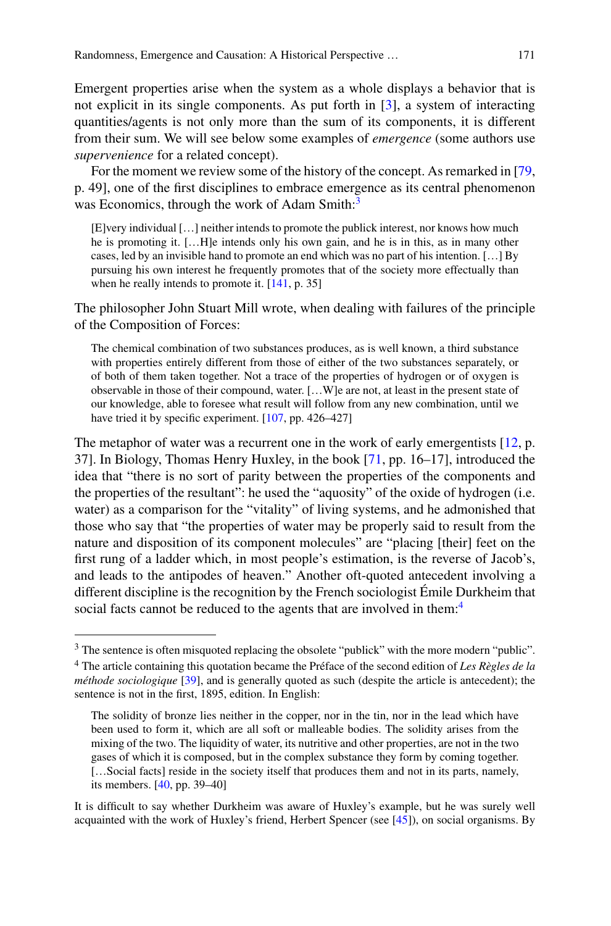Emergent properties arise when the system as a whole displays a behavior that is not explicit in its single components. As put forth in [\[3](#page-26-7)], a system of interacting quantities/agents is not only more than the sum of its components, it is different from their sum. We will see below some examples of *emergence* (some authors use *supervenience* for a related concept).

For the moment we review some of the history of the concept. As remarked in [\[79,](#page-28-1)] p. 49], one of the first disciplines to embrace emergence as its central phenomenon was Economics, through the work of Adam Smith:<sup>3</sup>

[E]very individual […] neither intends to promote the publick interest, nor knows how much he is promoting it. […H]e intends only his own gain, and he is in this, as in many other cases, led by an invisible hand to promote an end which was no part of his intention. […] By pursuing his own interest he frequently promotes that of the society more effectually than when he really intends to promote it.  $[141, p. 35]$  $[141, p. 35]$ 

The philosopher John Stuart Mill wrote, when dealing with failures of the principle of the Composition of Forces:

The chemical combination of two substances produces, as is well known, a third substance with properties entirely different from those of either of the two substances separately, or of both of them taken together. Not a trace of the properties of hydrogen or of oxygen is observable in those of their compound, water. […W]e are not, at least in the present state of our knowledge, able to foresee what result will follow from any new combination, until we have tried it by specific experiment. [\[107](#page-30-4), pp. 426–427]

The metaphor of water was a recurrent one in the work of early emergentists [\[12,](#page-26-8) p. 37]. In Biology, Thomas Henry Huxley, in the book [\[71,](#page-28-2) pp. 16–17], introduced the idea that "there is no sort of parity between the properties of the components and the properties of the resultant": he used the "aquosity" of the oxide of hydrogen (i.e. water) as a comparison for the "vitality" of living systems, and he admonished that those who say that "the properties of water may be properly said to result from the nature and disposition of its component molecules" are "placing [their] feet on the first rung of a ladder which, in most people's estimation, is the reverse of Jacob's, and leads to the antipodes of heaven." Another oft-quoted antecedent involving a different discipline is the recognition by the French sociologist Émile Durkheim that social facts cannot be reduced to the agents that are involved in them:<sup>4</sup>

<span id="page-8-0"></span><sup>&</sup>lt;sup>3</sup> The sentence is often misquoted replacing the obsolete "publick" with the more modern "public".

<span id="page-8-1"></span><sup>4</sup> The article containing this quotation became the Préface of the second edition of *Les Règles de la méthode sociologique* [\[39](#page-27-11)], and is generally quoted as such (despite the article is antecedent); the sentence is not in the first, 1895, edition. In English:

The solidity of bronze lies neither in the copper, nor in the tin, nor in the lead which have been used to form it, which are all soft or malleable bodies. The solidity arises from the mixing of the two. The liquidity of water, its nutritive and other properties, are not in the two gases of which it is composed, but in the complex substance they form by coming together. [...Social facts] reside in the society itself that produces them and not in its parts, namely, its members. [\[40](#page-27-12), pp. 39–40]

It is difficult to say whether Durkheim was aware of Huxley's example, but he was surely well acquainted with the work of Huxley's friend, Herbert Spencer (see [\[45\]](#page-27-13)), on social organisms. By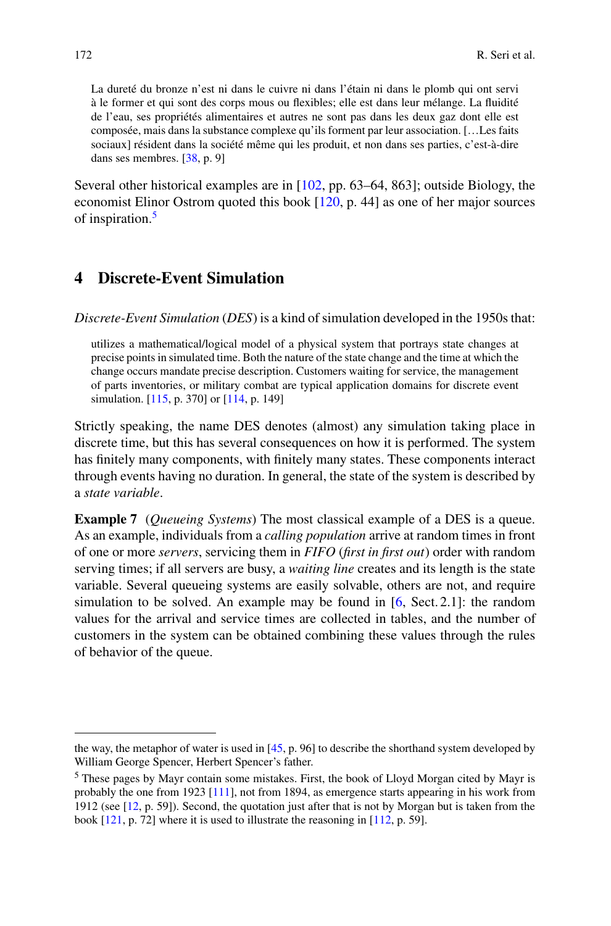La dureté du bronze n'est ni dans le cuivre ni dans l'étain ni dans le plomb qui ont servi à le former et qui sont des corps mous ou flexibles; elle est dans leur mélange. La fluidité de l'eau, ses propriétés alimentaires et autres ne sont pas dans les deux gaz dont elle est composée, mais dans la substance complexe qu'ils forment par leur association. […Les faits sociaux] résident dans la société même qui les produit, et non dans ses parties, c'est-à-dire dans ses membres. [\[38](#page-27-14), p. 9]

Several other historical examples are in [\[102,](#page-29-9) pp. 63–64, 863]; outside Biology, the economist Elinor Ostrom quoted this book [\[120,](#page-30-5) p. 44] as one of her major sources of inspiration.[5](#page-9-1)

# <span id="page-9-0"></span>**4 Discrete-Event Simulation**

*Discrete-Event Simulation* (*DES*) is a kind of simulation developed in the 1950s that:

utilizes a mathematical/logical model of a physical system that portrays state changes at precise points in simulated time. Both the nature of the state change and the time at which the change occurs mandate precise description. Customers waiting for service, the management of parts inventories, or military combat are typical application domains for discrete event simulation. [\[115](#page-30-6), p. 370] or [\[114](#page-30-7), p. 149]

Strictly speaking, the name DES denotes (almost) any simulation taking place in discrete time, but this has several consequences on how it is performed. The system has finitely many components, with finitely many states. These components interact through events having no duration. In general, the state of the system is described by a *state variable*.

**Example 7** (*Queueing Systems*) The most classical example of a DES is a queue. As an example, individuals from a *calling population* arrive at random times in front of one or more *servers*, servicing them in *FIFO* (*first in first out*) order with random serving times; if all servers are busy, a *waiting line* creates and its length is the state variable. Several queueing systems are easily solvable, others are not, and require simulation to be solved. An example may be found in [\[6,](#page-26-9) Sect. 2.1]: the random values for the arrival and service times are collected in tables, and the number of customers in the system can be obtained combining these values through the rules of behavior of the queue.

the way, the metaphor of water is used in [\[45,](#page-27-13) p. 96] to describe the shorthand system developed by William George Spencer, Herbert Spencer's father.

<span id="page-9-1"></span><sup>5</sup> These pages by Mayr contain some mistakes. First, the book of Lloyd Morgan cited by Mayr is probably the one from 1923 [\[111\]](#page-30-8), not from 1894, as emergence starts appearing in his work from 1912 (see [\[12,](#page-26-8) p. 59]). Second, the quotation just after that is not by Morgan but is taken from the book [\[121](#page-30-9), p. 72] where it is used to illustrate the reasoning in [\[112](#page-30-10), p. 59].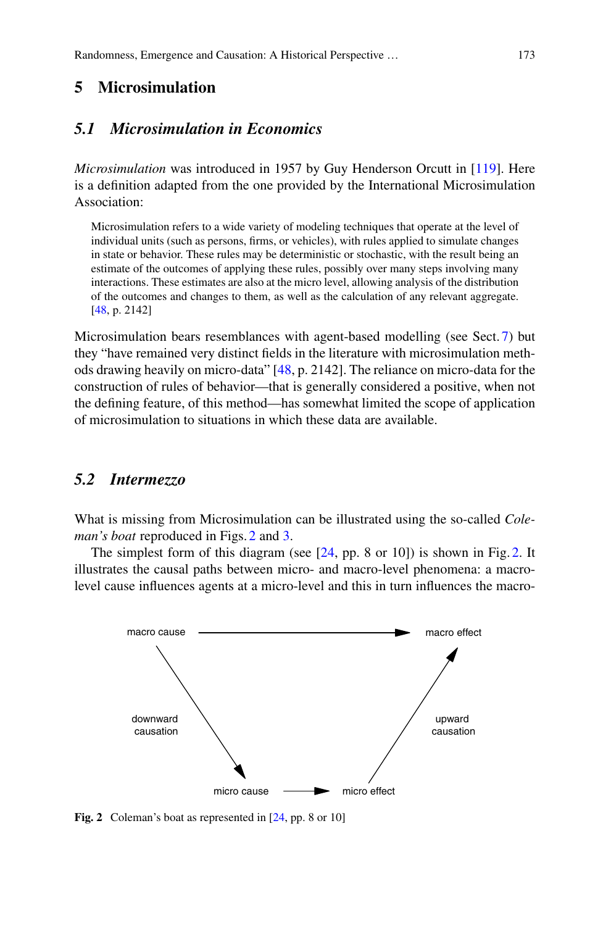# <span id="page-10-0"></span>**5 Microsimulation**

# <span id="page-10-2"></span>*5.1 Microsimulation in Economics*

*Microsimulation* was introduced in 1957 by Guy Henderson Orcutt in [\[119](#page-30-11)]. Here is a definition adapted from the one provided by the International Microsimulation Association:

Microsimulation refers to a wide variety of modeling techniques that operate at the level of individual units (such as persons, firms, or vehicles), with rules applied to simulate changes in state or behavior. These rules may be deterministic or stochastic, with the result being an estimate of the outcomes of applying these rules, possibly over many steps involving many interactions. These estimates are also at the micro level, allowing analysis of the distribution of the outcomes and changes to them, as well as the calculation of any relevant aggregate. [\[48,](#page-27-15) p. 2142]

Microsimulation bears resemblances with agent-based modelling (see Sect. [7\)](#page-16-0) but they "have remained very distinct fields in the literature with microsimulation methods drawing heavily on micro-data" [\[48,](#page-27-15) p. 2142]. The reliance on micro-data for the construction of rules of behavior—that is generally considered a positive, when not the defining feature, of this method—has somewhat limited the scope of application of microsimulation to situations in which these data are available.

# *5.2 Intermezzo*

What is missing from Microsimulation can be illustrated using the so-called *Coleman's boat* reproduced in Figs. [2](#page-10-1) and [3.](#page-11-0)

The simplest form of this diagram (see [\[24,](#page-26-10) pp. 8 or 10]) is shown in Fig. [2.](#page-10-1) It illustrates the causal paths between micro- and macro-level phenomena: a macrolevel cause influences agents at a micro-level and this in turn influences the macro-



<span id="page-10-1"></span>**Fig. 2** Coleman's boat as represented in [\[24,](#page-26-10) pp. 8 or 10]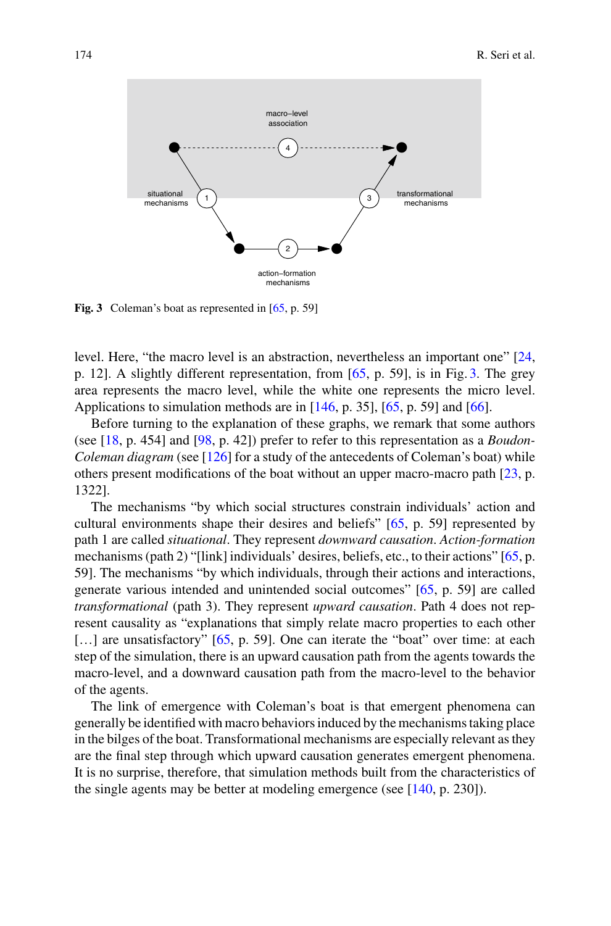

<span id="page-11-0"></span>Fig. 3 Coleman's boat as represented in [\[65,](#page-28-3) p. 59]

level. Here, "the macro level is an abstraction, nevertheless an important one" [\[24,](#page-26-10) p. 12]. A slightly different representation, from [\[65,](#page-28-3) p. 59], is in Fig. [3.](#page-11-0) The grey area represents the macro level, while the white one represents the micro level. Applications to simulation methods are in [\[146](#page-31-8), p. 35], [\[65,](#page-28-3) p. 59] and [\[66\]](#page-28-4).

Before turning to the explanation of these graphs, we remark that some authors (see [\[18,](#page-26-11) p. 454] and [\[98,](#page-29-10) p. 42]) prefer to refer to this representation as a *Boudon-Coleman diagram* (see [\[126\]](#page-30-12) for a study of the antecedents of Coleman's boat) while others present modifications of the boat without an upper macro-macro path [\[23,](#page-26-12) p. 1322].

The mechanisms "by which social structures constrain individuals' action and cultural environments shape their desires and beliefs" [\[65](#page-28-3), p. 59] represented by path 1 are called *situational*. They represent *downward causation*. *Action-formation* mechanisms (path 2) "[link] individuals' desires, beliefs, etc., to their actions" [\[65](#page-28-3), p. 59]. The mechanisms "by which individuals, through their actions and interactions, generate various intended and unintended social outcomes" [\[65](#page-28-3), p. 59] are called *transformational* (path 3). They represent *upward causation*. Path 4 does not represent causality as "explanations that simply relate macro properties to each other [...] are unsatisfactory" [\[65,](#page-28-3) p. 59]. One can iterate the "boat" over time: at each step of the simulation, there is an upward causation path from the agents towards the macro-level, and a downward causation path from the macro-level to the behavior of the agents.

The link of emergence with Coleman's boat is that emergent phenomena can generally be identified with macro behaviors induced by the mechanisms taking place in the bilges of the boat. Transformational mechanisms are especially relevant as they are the final step through which upward causation generates emergent phenomena. It is no surprise, therefore, that simulation methods built from the characteristics of the single agents may be better at modeling emergence (see [\[140](#page-31-9), p. 230]).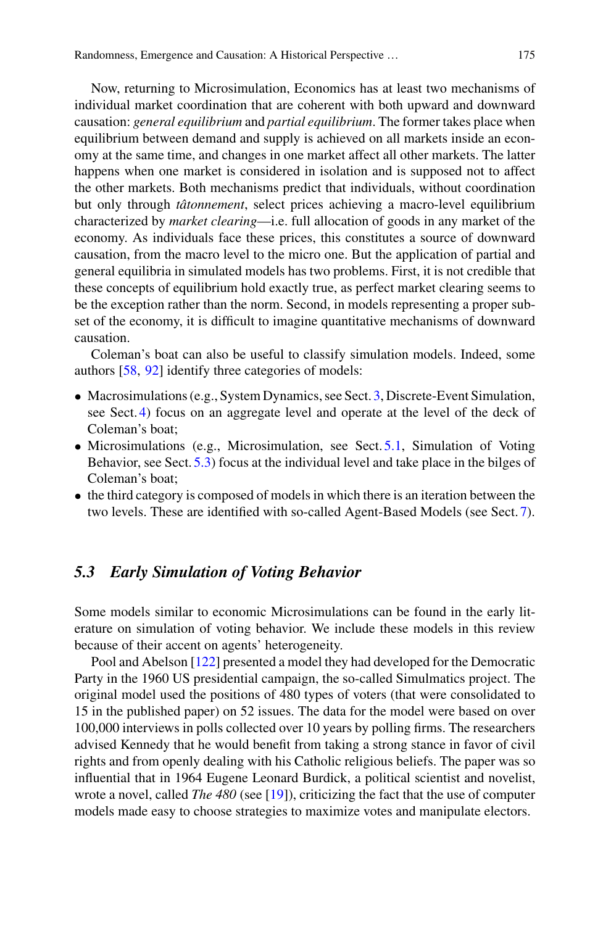Now, returning to Microsimulation, Economics has at least two mechanisms of individual market coordination that are coherent with both upward and downward causation: *general equilibrium* and *partial equilibrium*. The former takes place when equilibrium between demand and supply is achieved on all markets inside an economy at the same time, and changes in one market affect all other markets. The latter happens when one market is considered in isolation and is supposed not to affect the other markets. Both mechanisms predict that individuals, without coordination but only through *tâtonnement*, select prices achieving a macro-level equilibrium characterized by *market clearing*—i.e. full allocation of goods in any market of the economy. As individuals face these prices, this constitutes a source of downward causation, from the macro level to the micro one. But the application of partial and general equilibria in simulated models has two problems. First, it is not credible that these concepts of equilibrium hold exactly true, as perfect market clearing seems to be the exception rather than the norm. Second, in models representing a proper subset of the economy, it is difficult to imagine quantitative mechanisms of downward causation.

Coleman's boat can also be useful to classify simulation models. Indeed, some authors [\[58,](#page-28-5) [92](#page-29-11)] identify three categories of models:

- Macrosimulations (e.g., System Dynamics, see Sect. [3,](#page-5-0) Discrete-Event Simulation, see Sect. [4\)](#page-9-0) focus on an aggregate level and operate at the level of the deck of Coleman's boat;
- Microsimulations (e.g., Microsimulation, see Sect. [5.1,](#page-10-2) Simulation of Voting Behavior, see Sect. [5.3\)](#page-12-0) focus at the individual level and take place in the bilges of Coleman's boat;
- the third category is composed of models in which there is an iteration between the two levels. These are identified with so-called Agent-Based Models (see Sect. [7\)](#page-16-0).

# <span id="page-12-0"></span>*5.3 Early Simulation of Voting Behavior*

Some models similar to economic Microsimulations can be found in the early literature on simulation of voting behavior. We include these models in this review because of their accent on agents' heterogeneity.

Pool and Abelson [\[122](#page-30-13)] presented a model they had developed for the Democratic Party in the 1960 US presidential campaign, the so-called Simulmatics project. The original model used the positions of 480 types of voters (that were consolidated to 15 in the published paper) on 52 issues. The data for the model were based on over 100,000 interviews in polls collected over 10 years by polling firms. The researchers advised Kennedy that he would benefit from taking a strong stance in favor of civil rights and from openly dealing with his Catholic religious beliefs. The paper was so influential that in 1964 Eugene Leonard Burdick, a political scientist and novelist, wrote a novel, called *The 480* (see [\[19](#page-26-13)]), criticizing the fact that the use of computer models made easy to choose strategies to maximize votes and manipulate electors.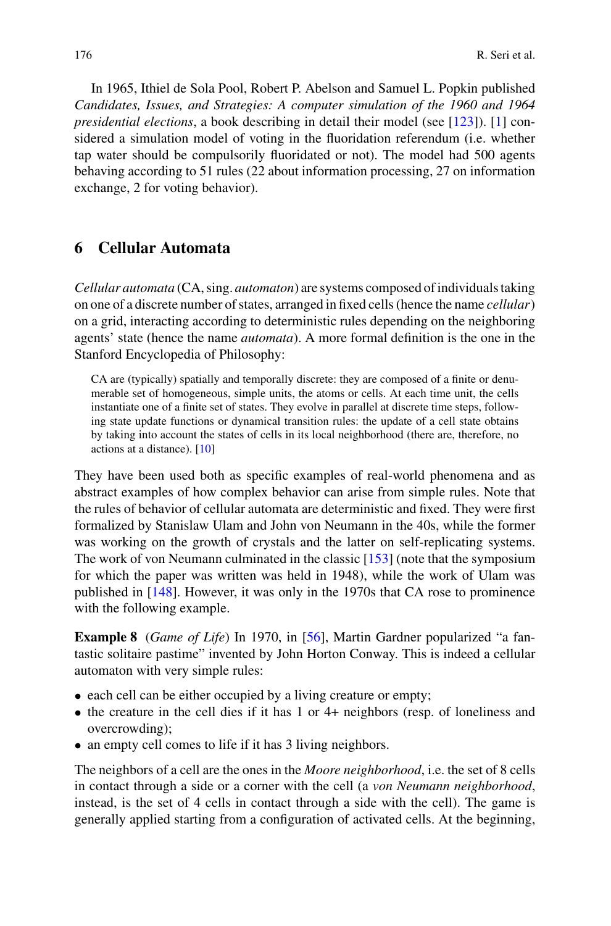In 1965, Ithiel de Sola Pool, Robert P. Abelson and Samuel L. Popkin published *Candidates, Issues, and Strategies: A computer simulation of the 1960 and 1964 presidential elections*, a book describing in detail their model (see [\[123\]](#page-30-14)). [\[1](#page-25-1)] considered a simulation model of voting in the fluoridation referendum (i.e. whether tap water should be compulsorily fluoridated or not). The model had 500 agents behaving according to 51 rules (22 about information processing, 27 on information exchange, 2 for voting behavior).

### <span id="page-13-0"></span>**6 Cellular Automata**

*Cellular automata* (CA, sing. *automaton*) are systems composed of individuals taking on one of a discrete number of states, arranged in fixed cells (hence the name *cellular*) on a grid, interacting according to deterministic rules depending on the neighboring agents' state (hence the name *automata*). A more formal definition is the one in the Stanford Encyclopedia of Philosophy:

CA are (typically) spatially and temporally discrete: they are composed of a finite or denumerable set of homogeneous, simple units, the atoms or cells. At each time unit, the cells instantiate one of a finite set of states. They evolve in parallel at discrete time steps, following state update functions or dynamical transition rules: the update of a cell state obtains by taking into account the states of cells in its local neighborhood (there are, therefore, no actions at a distance). [\[10\]](#page-26-14)

They have been used both as specific examples of real-world phenomena and as abstract examples of how complex behavior can arise from simple rules. Note that the rules of behavior of cellular automata are deterministic and fixed. They were first formalized by Stanislaw Ulam and John von Neumann in the 40s, while the former was working on the growth of crystals and the latter on self-replicating systems. The work of von Neumann culminated in the classic [\[153\]](#page-31-10) (note that the symposium for which the paper was written was held in 1948), while the work of Ulam was published in [\[148](#page-31-11)]. However, it was only in the 1970s that CA rose to prominence with the following example.

**Example 8** (*Game of Life*) In 1970, in [\[56\]](#page-27-16), Martin Gardner popularized "a fantastic solitaire pastime" invented by John Horton Conway. This is indeed a cellular automaton with very simple rules:

- each cell can be either occupied by a living creature or empty;
- the creature in the cell dies if it has 1 or 4+ neighbors (resp. of loneliness and overcrowding);
- an empty cell comes to life if it has 3 living neighbors.

The neighbors of a cell are the ones in the *Moore neighborhood*, i.e. the set of 8 cells in contact through a side or a corner with the cell (a *von Neumann neighborhood*, instead, is the set of 4 cells in contact through a side with the cell). The game is generally applied starting from a configuration of activated cells. At the beginning,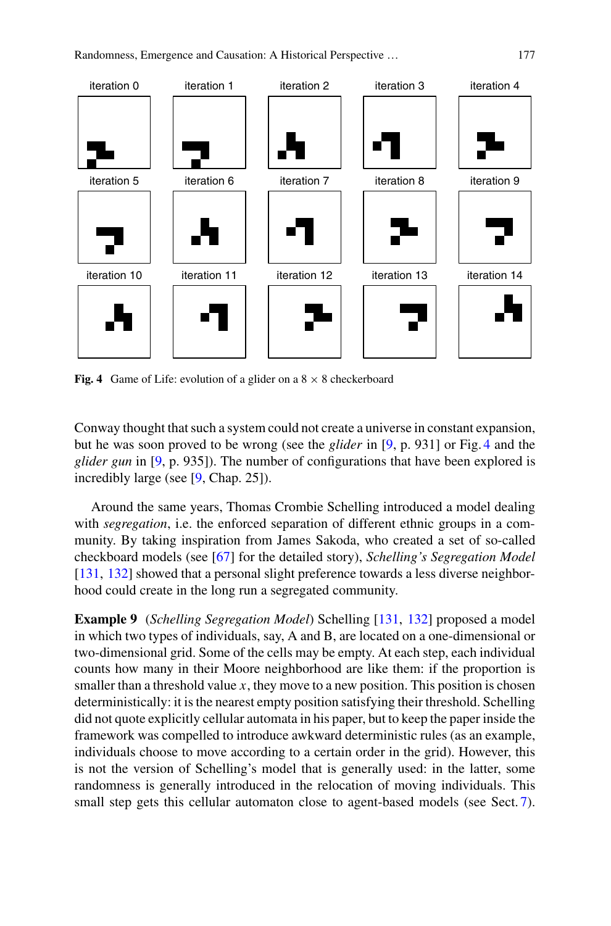

<span id="page-14-0"></span>**Fig. 4** Game of Life: evolution of a glider on a  $8 \times 8$  checkerboard

Conway thought that such a system could not create a universe in constant expansion, but he was soon proved to be wrong (see the *glider* in [\[9,](#page-26-15) p. 931] or Fig. [4](#page-14-0) and the *glider gun* in [\[9,](#page-26-15) p. 935]). The number of configurations that have been explored is incredibly large (see [\[9,](#page-26-15) Chap. 25]).

Around the same years, Thomas Crombie Schelling introduced a model dealing with *segregation*, i.e. the enforced separation of different ethnic groups in a community. By taking inspiration from James Sakoda, who created a set of so-called checkboard models (see [\[67\]](#page-28-6) for the detailed story), *Schelling's Segregation Model* [\[131,](#page-30-15) [132](#page-30-16)] showed that a personal slight preference towards a less diverse neighborhood could create in the long run a segregated community.

**Example 9** (*Schelling Segregation Model*) Schelling [\[131](#page-30-15), [132](#page-30-16)] proposed a model in which two types of individuals, say, A and B, are located on a one-dimensional or two-dimensional grid. Some of the cells may be empty. At each step, each individual counts how many in their Moore neighborhood are like them: if the proportion is smaller than a threshold value *x*, they move to a new position. This position is chosen deterministically: it is the nearest empty position satisfying their threshold. Schelling did not quote explicitly cellular automata in his paper, but to keep the paper inside the framework was compelled to introduce awkward deterministic rules (as an example, individuals choose to move according to a certain order in the grid). However, this is not the version of Schelling's model that is generally used: in the latter, some randomness is generally introduced in the relocation of moving individuals. This small step gets this cellular automaton close to agent-based models (see Sect. [7\)](#page-16-0).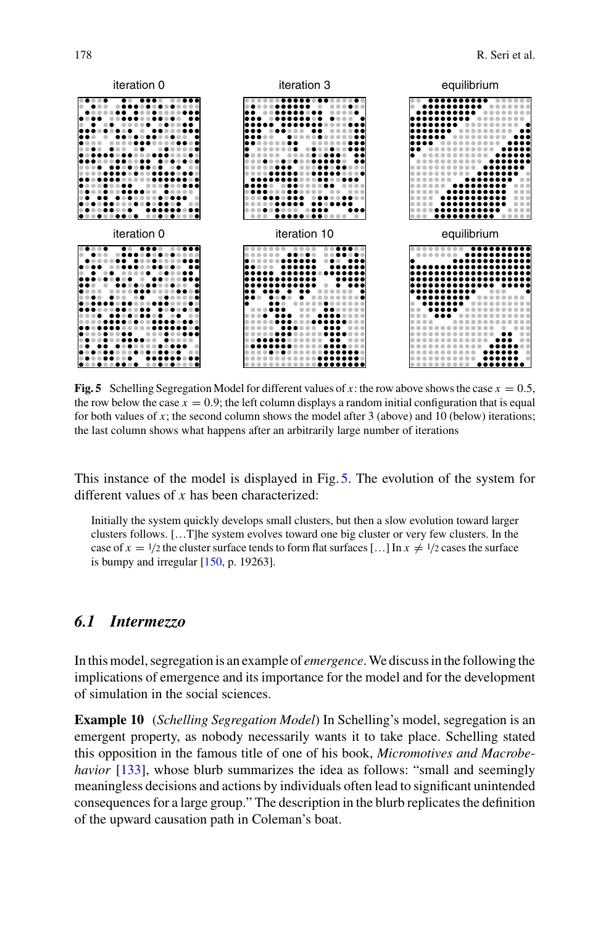

<span id="page-15-0"></span>**Fig. 5** Schelling Segregation Model for different values of x: the row above shows the case  $x = 0.5$ , the row below the case  $x = 0.9$ ; the left column displays a random initial configuration that is equal for both values of  $x$ ; the second column shows the model after 3 (above) and 10 (below) iterations; the last column shows what happens after an arbitrarily large number of iterations

This instance of the model is displayed in Fig. [5.](#page-15-0) The evolution of the system for different values of *x* has been characterized:

Initially the system quickly develops small clusters, but then a slow evolution toward larger clusters follows. […T]he system evolves toward one big cluster or very few clusters. In the case of  $x = 1/2$  the cluster surface tends to form flat surfaces [...] In  $x \neq 1/2$  cases the surface is bumpy and irregular  $[150, p. 19263]$  $[150, p. 19263]$ .

### *6.1 Intermezzo*

In this model, segregation is an example of *emergence*.We discuss in the following the implications of emergence and its importance for the model and for the development of simulation in the social sciences.

**Example 10** (*Schelling Segregation Model*) In Schelling's model, segregation is an emergent property, as nobody necessarily wants it to take place. Schelling stated this opposition in the famous title of one of his book, *Micromotives and Macrobehavior* [\[133\]](#page-30-17), whose blurb summarizes the idea as follows: "small and seemingly meaningless decisions and actions by individuals often lead to significant unintended consequences for a large group." The description in the blurb replicates the definition of the upward causation path in Coleman's boat.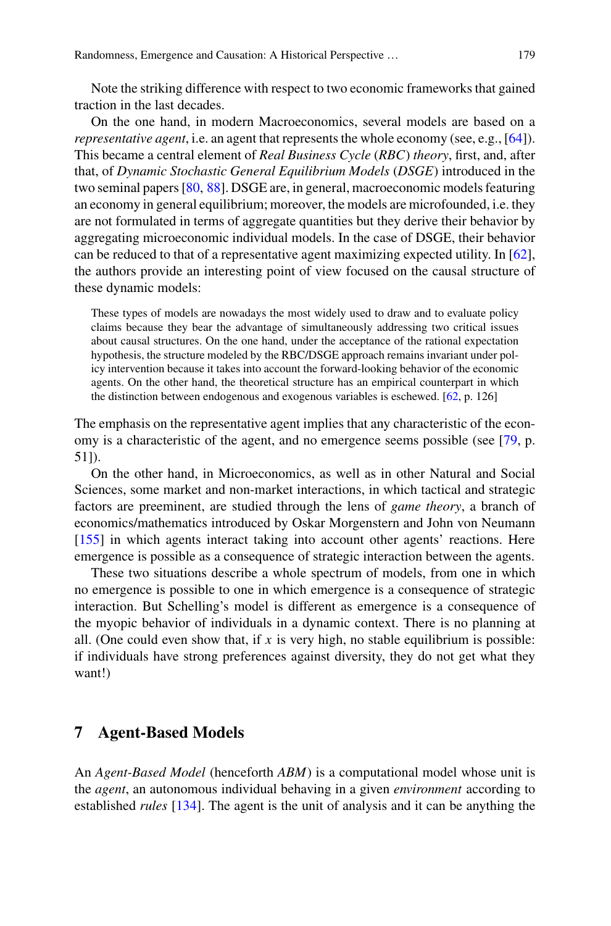Note the striking difference with respect to two economic frameworks that gained traction in the last decades.

On the one hand, in modern Macroeconomics, several models are based on a *representative agent*, i.e. an agent that represents the whole economy (see, e.g., [\[64](#page-28-7)]). This became a central element of *Real Business Cycle* (*RBC*) *theory*, first, and, after that, of *Dynamic Stochastic General Equilibrium Models* (*DSGE*) introduced in the two seminal papers [\[80,](#page-29-12) [88\]](#page-29-13). DSGE are, in general, macroeconomic models featuring an economy in general equilibrium; moreover, the models are microfounded, i.e. they are not formulated in terms of aggregate quantities but they derive their behavior by aggregating microeconomic individual models. In the case of DSGE, their behavior can be reduced to that of a representative agent maximizing expected utility. In [\[62](#page-28-8)], the authors provide an interesting point of view focused on the causal structure of these dynamic models:

These types of models are nowadays the most widely used to draw and to evaluate policy claims because they bear the advantage of simultaneously addressing two critical issues about causal structures. On the one hand, under the acceptance of the rational expectation hypothesis, the structure modeled by the RBC/DSGE approach remains invariant under policy intervention because it takes into account the forward-looking behavior of the economic agents. On the other hand, the theoretical structure has an empirical counterpart in which the distinction between endogenous and exogenous variables is eschewed. [\[62,](#page-28-8) p. 126]

The emphasis on the representative agent implies that any characteristic of the economy is a characteristic of the agent, and no emergence seems possible (see [\[79](#page-28-1), p. 51]).

On the other hand, in Microeconomics, as well as in other Natural and Social Sciences, some market and non-market interactions, in which tactical and strategic factors are preeminent, are studied through the lens of *game theory*, a branch of economics/mathematics introduced by Oskar Morgenstern and John von Neumann [\[155\]](#page-31-13) in which agents interact taking into account other agents' reactions. Here emergence is possible as a consequence of strategic interaction between the agents.

These two situations describe a whole spectrum of models, from one in which no emergence is possible to one in which emergence is a consequence of strategic interaction. But Schelling's model is different as emergence is a consequence of the myopic behavior of individuals in a dynamic context. There is no planning at all. (One could even show that, if  $x$  is very high, no stable equilibrium is possible: if individuals have strong preferences against diversity, they do not get what they want!)

#### <span id="page-16-0"></span>**7 Agent-Based Models**

An *Agent-Based Model* (henceforth *ABM*) is a computational model whose unit is the *agent*, an autonomous individual behaving in a given *environment* according to established *rules* [\[134\]](#page-31-14). The agent is the unit of analysis and it can be anything the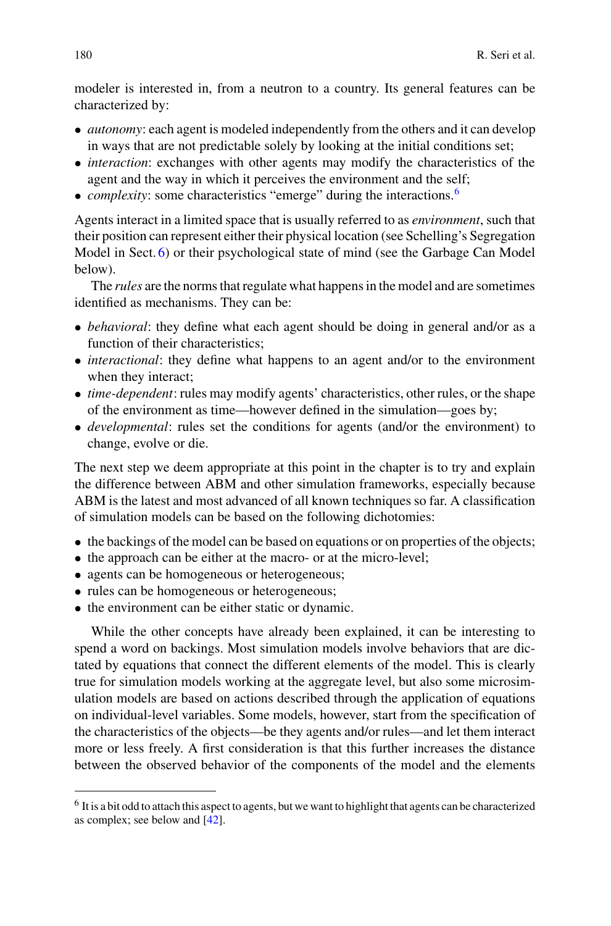modeler is interested in, from a neutron to a country. Its general features can be characterized by:

- *autonomy*: each agent is modeled independently from the others and it can develop in ways that are not predictable solely by looking at the initial conditions set;
- *interaction*: exchanges with other agents may modify the characteristics of the agent and the way in which it perceives the environment and the self;
- *complexity*: some characteristics "emerge" during the interactions.<sup>[6](#page-17-0)</sup>

Agents interact in a limited space that is usually referred to as *environment*, such that their position can represent either their physical location (see Schelling's Segregation Model in Sect. [6\)](#page-13-0) or their psychological state of mind (see the Garbage Can Model below).

The *rules* are the norms that regulate what happens in the model and are sometimes identified as mechanisms. They can be:

- *behavioral*: they define what each agent should be doing in general and/or as a function of their characteristics;
- *interactional*: they define what happens to an agent and/or to the environment when they interact;
- *time-dependent*: rules may modify agents' characteristics, other rules, or the shape of the environment as time—however defined in the simulation—goes by;
- *developmental*: rules set the conditions for agents (and/or the environment) to change, evolve or die.

The next step we deem appropriate at this point in the chapter is to try and explain the difference between ABM and other simulation frameworks, especially because ABM is the latest and most advanced of all known techniques so far. A classification of simulation models can be based on the following dichotomies:

- the backings of the model can be based on equations or on properties of the objects;
- the approach can be either at the macro- or at the micro-level;
- agents can be homogeneous or heterogeneous;
- rules can be homogeneous or heterogeneous;
- the environment can be either static or dynamic.

While the other concepts have already been explained, it can be interesting to spend a word on backings. Most simulation models involve behaviors that are dictated by equations that connect the different elements of the model. This is clearly true for simulation models working at the aggregate level, but also some microsimulation models are based on actions described through the application of equations on individual-level variables. Some models, however, start from the specification of the characteristics of the objects—be they agents and/or rules—and let them interact more or less freely. A first consideration is that this further increases the distance between the observed behavior of the components of the model and the elements

<span id="page-17-0"></span><sup>&</sup>lt;sup>6</sup> It is a bit odd to attach this aspect to agents, but we want to highlight that agents can be characterized as complex; see below and [\[42](#page-27-17)].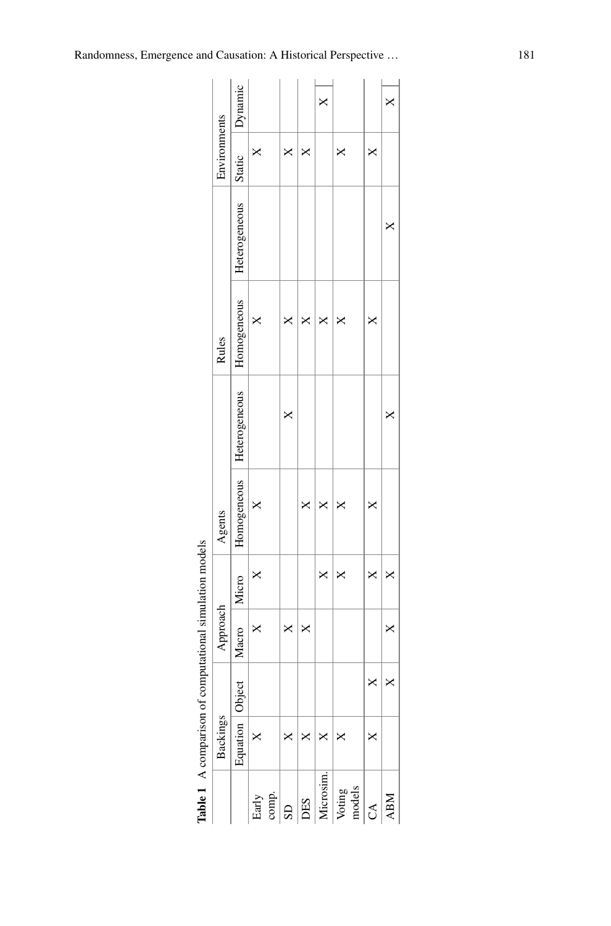|                        |                   |   | Table 1 A comparison of computational simulation models |   |             |               |             |               |              |          |
|------------------------|-------------------|---|---------------------------------------------------------|---|-------------|---------------|-------------|---------------|--------------|----------|
|                        | Backings          |   | Approach                                                |   | Agents      |               | Rules       |               | Environments |          |
|                        | Equation   Object |   | Macro   Micro                                           |   | Homogeneous | Heterogeneous | Homogeneous | Heterogeneous | Static       | Dynamic  |
| Early                  | $\times$          |   | ×                                                       | × |             |               |             |               | ×            |          |
| comp.                  |                   |   |                                                         |   |             |               |             |               |              |          |
| $\overline{\text{SD}}$ |                   |   | ×                                                       |   |             | ×             | ×           |               | ×            |          |
| DES                    |                   |   | ×                                                       |   | ×           |               | ×           |               | ×            |          |
| Microsim.              |                   |   |                                                         | × | ×           |               | ×           |               |              | $\times$ |
| models<br>Voting       | ×                 |   |                                                         | × | ×           |               | ×           |               | ×            |          |
| C <sub>A</sub>         | ×                 | × |                                                         |   | ×           |               | ×           |               | ×            |          |
| <b>ABM</b>             |                   | × | ×                                                       | × |             | ×             |             | ×             |              | ×        |

<span id="page-18-0"></span>

| I<br>ī<br>l<br>l<br>$\frac{1}{2}$<br>í<br>í                             |
|-------------------------------------------------------------------------|
| ۱<br>l<br>١<br>ł<br>I<br>ı<br>l<br>i<br>I<br>í<br>í<br>í<br>í<br>í<br>Ï |
| <br> <br> <br> <br>ì<br>ı<br>í                                          |
| í<br>l<br>i<br>ļ<br>۱<br>ï<br>۱<br>۱<br>I<br>۰                          |
| I                                                                       |
| l<br>۱<br>Ï                                                             |
| ۱<br>۱<br>۱<br>l                                                        |
| ۱                                                                       |
| ֠                                                                       |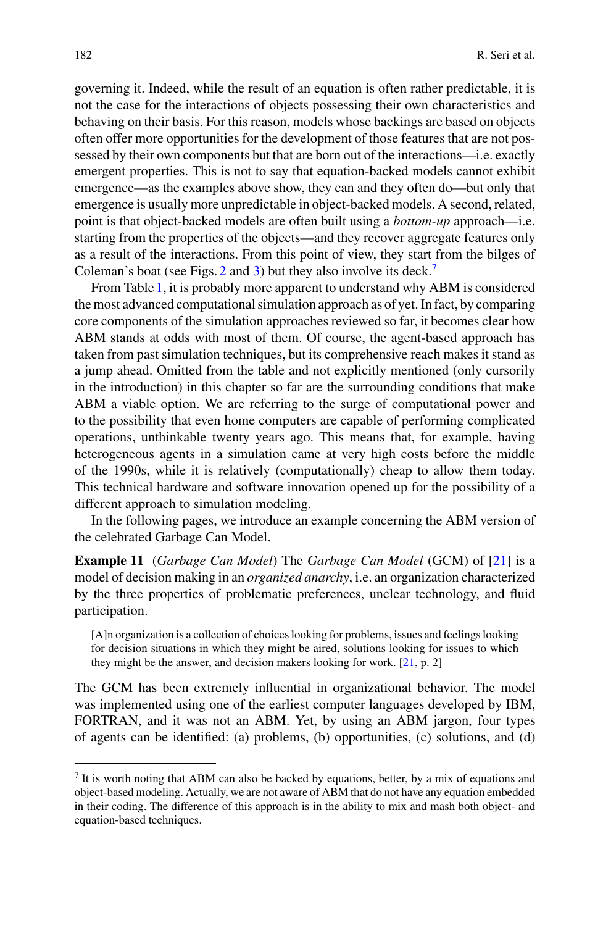governing it. Indeed, while the result of an equation is often rather predictable, it is not the case for the interactions of objects possessing their own characteristics and behaving on their basis. For this reason, models whose backings are based on objects often offer more opportunities for the development of those features that are not possessed by their own components but that are born out of the interactions—i.e. exactly emergent properties. This is not to say that equation-backed models cannot exhibit emergence—as the examples above show, they can and they often do—but only that emergence is usually more unpredictable in object-backed models. A second, related, point is that object-backed models are often built using a *bottom-up* approach—i.e. starting from the properties of the objects—and they recover aggregate features only as a result of the interactions. From this point of view, they start from the bilges of Coleman's boat (see Figs. [2](#page-10-1) and [3\)](#page-11-0) but they also involve its deck.<sup>[7](#page-19-0)</sup>

From Table [1,](#page-18-0) it is probably more apparent to understand why ABM is considered the most advanced computational simulation approach as of yet. In fact, by comparing core components of the simulation approaches reviewed so far, it becomes clear how ABM stands at odds with most of them. Of course, the agent-based approach has taken from past simulation techniques, but its comprehensive reach makes it stand as a jump ahead. Omitted from the table and not explicitly mentioned (only cursorily in the introduction) in this chapter so far are the surrounding conditions that make ABM a viable option. We are referring to the surge of computational power and to the possibility that even home computers are capable of performing complicated operations, unthinkable twenty years ago. This means that, for example, having heterogeneous agents in a simulation came at very high costs before the middle of the 1990s, while it is relatively (computationally) cheap to allow them today. This technical hardware and software innovation opened up for the possibility of a different approach to simulation modeling.

In the following pages, we introduce an example concerning the ABM version of the celebrated Garbage Can Model.

**Example 11** (*Garbage Can Model*) The *Garbage Can Model* (GCM) of [\[21\]](#page-26-16) is a model of decision making in an *organized anarchy*, i.e. an organization characterized by the three properties of problematic preferences, unclear technology, and fluid participation.

[A]n organization is a collection of choices looking for problems, issues and feelings looking for decision situations in which they might be aired, solutions looking for issues to which they might be the answer, and decision makers looking for work. [\[21](#page-26-16), p. 2]

The GCM has been extremely influential in organizational behavior. The model was implemented using one of the earliest computer languages developed by IBM, FORTRAN, and it was not an ABM. Yet, by using an ABM jargon, four types of agents can be identified: (a) problems, (b) opportunities, (c) solutions, and (d)

<span id="page-19-0"></span> $<sup>7</sup>$  It is worth noting that ABM can also be backed by equations, better, by a mix of equations and</sup> object-based modeling. Actually, we are not aware of ABM that do not have any equation embedded in their coding. The difference of this approach is in the ability to mix and mash both object- and equation-based techniques.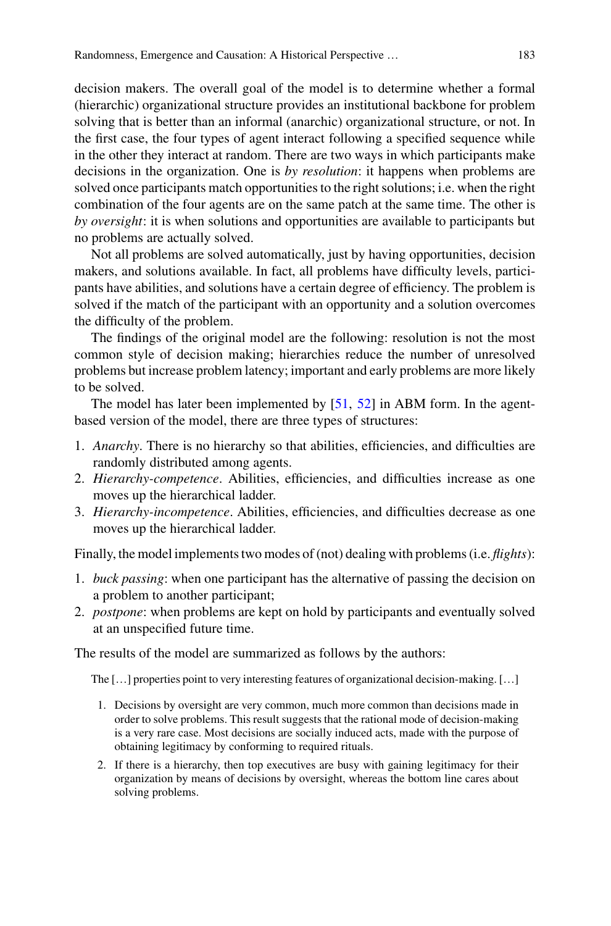decision makers. The overall goal of the model is to determine whether a formal (hierarchic) organizational structure provides an institutional backbone for problem solving that is better than an informal (anarchic) organizational structure, or not. In the first case, the four types of agent interact following a specified sequence while in the other they interact at random. There are two ways in which participants make decisions in the organization. One is *by resolution*: it happens when problems are solved once participants match opportunities to the right solutions; i.e. when the right combination of the four agents are on the same patch at the same time. The other is *by oversight*: it is when solutions and opportunities are available to participants but no problems are actually solved.

Not all problems are solved automatically, just by having opportunities, decision makers, and solutions available. In fact, all problems have difficulty levels, participants have abilities, and solutions have a certain degree of efficiency. The problem is solved if the match of the participant with an opportunity and a solution overcomes the difficulty of the problem.

The findings of the original model are the following: resolution is not the most common style of decision making; hierarchies reduce the number of unresolved problems but increase problem latency; important and early problems are more likely to be solved.

The model has later been implemented by [\[51,](#page-27-18) [52](#page-27-19)] in ABM form. In the agentbased version of the model, there are three types of structures:

- 1. *Anarchy*. There is no hierarchy so that abilities, efficiencies, and difficulties are randomly distributed among agents.
- 2. *Hierarchy-competence*. Abilities, efficiencies, and difficulties increase as one moves up the hierarchical ladder.
- 3. *Hierarchy-incompetence*. Abilities, efficiencies, and difficulties decrease as one moves up the hierarchical ladder.

Finally, the model implements two modes of (not) dealing with problems (i.e. *flights*):

- 1. *buck passing*: when one participant has the alternative of passing the decision on a problem to another participant;
- 2. *postpone*: when problems are kept on hold by participants and eventually solved at an unspecified future time.

The results of the model are summarized as follows by the authors:

The […] properties point to very interesting features of organizational decision-making. […]

- 1. Decisions by oversight are very common, much more common than decisions made in order to solve problems. This result suggests that the rational mode of decision-making is a very rare case. Most decisions are socially induced acts, made with the purpose of obtaining legitimacy by conforming to required rituals.
- 2. If there is a hierarchy, then top executives are busy with gaining legitimacy for their organization by means of decisions by oversight, whereas the bottom line cares about solving problems.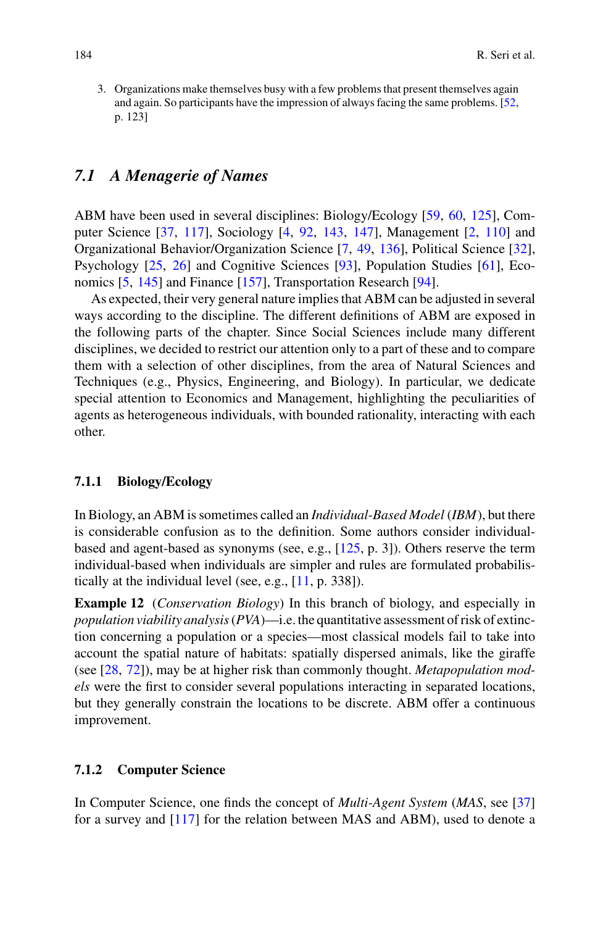3. Organizations make themselves busy with a few problems that present themselves again and again. So participants have the impression of always facing the same problems. [\[52](#page-27-19), p. 123]

### *7.1 A Menagerie of Names*

ABM have been used in several disciplines: Biology/Ecology [\[59,](#page-28-9) [60,](#page-28-10) [125\]](#page-30-18), Computer Science [\[37](#page-27-20), [117](#page-30-19)], Sociology [\[4,](#page-26-17) [92,](#page-29-11) [143](#page-31-15), [147](#page-31-16)], Management [\[2](#page-25-2), [110\]](#page-30-20) and Organizational Behavior/Organization Science [\[7,](#page-26-18) [49,](#page-27-21) [136\]](#page-31-17), Political Science [\[32](#page-27-22)], Psychology [\[25](#page-26-19), [26](#page-26-20)] and Cognitive Sciences [\[93\]](#page-29-14), Population Studies [\[61\]](#page-28-11), Economics [\[5](#page-26-21), [145\]](#page-31-18) and Finance [\[157\]](#page-32-1), Transportation Research [\[94](#page-29-15)].

As expected, their very general nature implies that ABM can be adjusted in several ways according to the discipline. The different definitions of ABM are exposed in the following parts of the chapter. Since Social Sciences include many different disciplines, we decided to restrict our attention only to a part of these and to compare them with a selection of other disciplines, from the area of Natural Sciences and Techniques (e.g., Physics, Engineering, and Biology). In particular, we dedicate special attention to Economics and Management, highlighting the peculiarities of agents as heterogeneous individuals, with bounded rationality, interacting with each other.

#### **7.1.1 Biology/Ecology**

In Biology, an ABM is sometimes called an *Individual-Based Model* (*IBM*), but there is considerable confusion as to the definition. Some authors consider individualbased and agent-based as synonyms (see, e.g., [\[125](#page-30-18), p. 3]). Others reserve the term individual-based when individuals are simpler and rules are formulated probabilistically at the individual level (see, e.g., [\[11](#page-26-22), p. 338]).

**Example 12** (*Conservation Biology*) In this branch of biology, and especially in *population viability analysis*(*PVA*)—i.e. the quantitative assessment of risk of extinction concerning a population or a species—most classical models fail to take into account the spatial nature of habitats: spatially dispersed animals, like the giraffe (see [\[28](#page-26-23), [72\]](#page-28-12)), may be at higher risk than commonly thought. *Metapopulation models* were the first to consider several populations interacting in separated locations, but they generally constrain the locations to be discrete. ABM offer a continuous improvement.

#### **7.1.2 Computer Science**

In Computer Science, one finds the concept of *Multi-Agent System* (*MAS*, see [\[37\]](#page-27-20) for a survey and [\[117](#page-30-19)] for the relation between MAS and ABM), used to denote a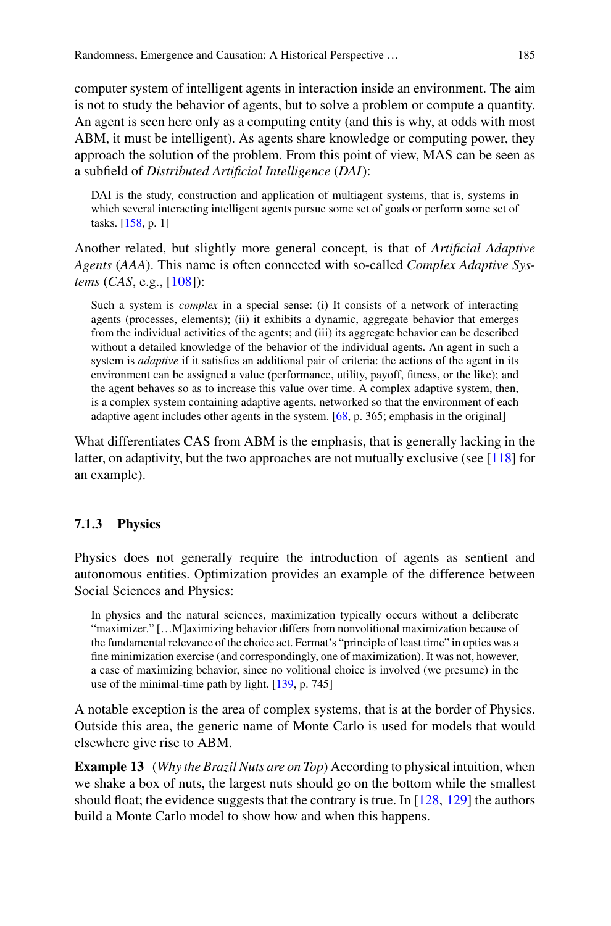computer system of intelligent agents in interaction inside an environment. The aim is not to study the behavior of agents, but to solve a problem or compute a quantity. An agent is seen here only as a computing entity (and this is why, at odds with most ABM, it must be intelligent). As agents share knowledge or computing power, they approach the solution of the problem. From this point of view, MAS can be seen as a subfield of *Distributed Artificial Intelligence* (*DAI*):

DAI is the study, construction and application of multiagent systems, that is, systems in which several interacting intelligent agents pursue some set of goals or perform some set of tasks. [\[158](#page-32-2), p. 1]

Another related, but slightly more general concept, is that of *Artificial Adaptive Agents* (*AAA*). This name is often connected with so-called *Complex Adaptive Systems* (*CAS*, e.g., [\[108](#page-30-21)]):

Such a system is *complex* in a special sense: (i) It consists of a network of interacting agents (processes, elements); (ii) it exhibits a dynamic, aggregate behavior that emerges from the individual activities of the agents; and (iii) its aggregate behavior can be described without a detailed knowledge of the behavior of the individual agents. An agent in such a system is *adaptive* if it satisfies an additional pair of criteria: the actions of the agent in its environment can be assigned a value (performance, utility, payoff, fitness, or the like); and the agent behaves so as to increase this value over time. A complex adaptive system, then, is a complex system containing adaptive agents, networked so that the environment of each adaptive agent includes other agents in the system. [\[68](#page-28-13), p. 365; emphasis in the original]

What differentiates CAS from ABM is the emphasis, that is generally lacking in the latter, on adaptivity, but the two approaches are not mutually exclusive (see  $[118]$  $[118]$  for an example).

#### **7.1.3 Physics**

Physics does not generally require the introduction of agents as sentient and autonomous entities. Optimization provides an example of the difference between Social Sciences and Physics:

In physics and the natural sciences, maximization typically occurs without a deliberate "maximizer." […M]aximizing behavior differs from nonvolitional maximization because of the fundamental relevance of the choice act. Fermat's "principle of least time" in optics was a fine minimization exercise (and correspondingly, one of maximization). It was not, however, a case of maximizing behavior, since no volitional choice is involved (we presume) in the use of the minimal-time path by light. [\[139](#page-31-19), p. 745]

A notable exception is the area of complex systems, that is at the border of Physics. Outside this area, the generic name of Monte Carlo is used for models that would elsewhere give rise to ABM.

**Example 13** (*Why the Brazil Nuts are on Top*) According to physical intuition, when we shake a box of nuts, the largest nuts should go on the bottom while the smallest should float; the evidence suggests that the contrary is true. In  $[128, 129]$  $[128, 129]$  $[128, 129]$  $[128, 129]$  the authors build a Monte Carlo model to show how and when this happens.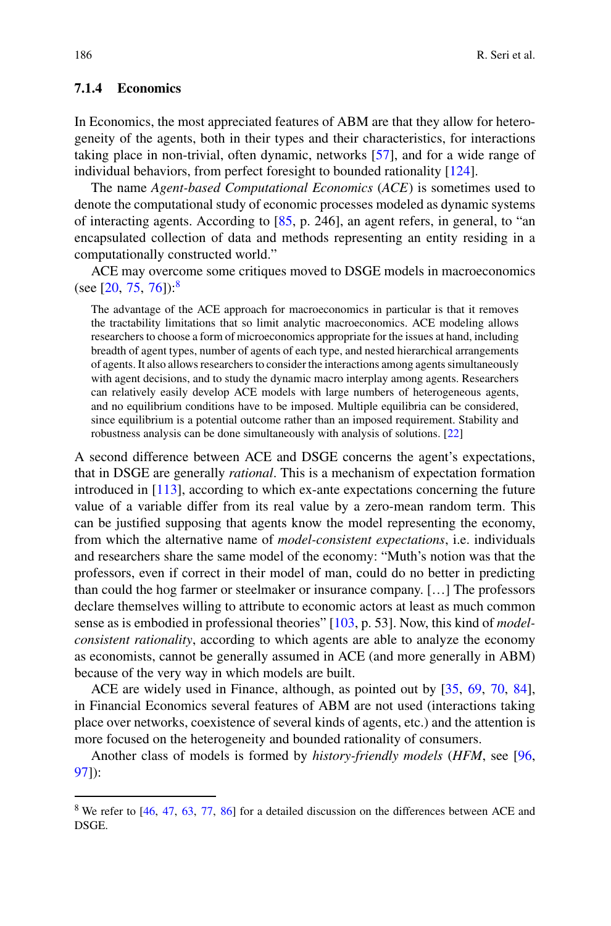#### **7.1.4 Economics**

In Economics, the most appreciated features of ABM are that they allow for heterogeneity of the agents, both in their types and their characteristics, for interactions taking place in non-trivial, often dynamic, networks [\[57](#page-27-23)], and for a wide range of individual behaviors, from perfect foresight to bounded rationality [\[124](#page-30-25)].

The name *Agent-based Computational Economics* (*ACE*) is sometimes used to denote the computational study of economic processes modeled as dynamic systems of interacting agents. According to [\[85](#page-29-16), p. 246], an agent refers, in general, to "an encapsulated collection of data and methods representing an entity residing in a computationally constructed world."

ACE may overcome some critiques moved to DSGE models in macroeconomics (see [\[20](#page-26-24), [75](#page-28-14), [76\]](#page-28-15)):<sup>[8](#page-23-0)</sup>

The advantage of the ACE approach for macroeconomics in particular is that it removes the tractability limitations that so limit analytic macroeconomics. ACE modeling allows researchers to choose a form of microeconomics appropriate for the issues at hand, including breadth of agent types, number of agents of each type, and nested hierarchical arrangements of agents. It also allows researchers to consider the interactions among agents simultaneously with agent decisions, and to study the dynamic macro interplay among agents. Researchers can relatively easily develop ACE models with large numbers of heterogeneous agents, and no equilibrium conditions have to be imposed. Multiple equilibria can be considered, since equilibrium is a potential outcome rather than an imposed requirement. Stability and robustness analysis can be done simultaneously with analysis of solutions. [\[22](#page-26-25)]

A second difference between ACE and DSGE concerns the agent's expectations, that in DSGE are generally *rational*. This is a mechanism of expectation formation introduced in [\[113\]](#page-30-26), according to which ex-ante expectations concerning the future value of a variable differ from its real value by a zero-mean random term. This can be justified supposing that agents know the model representing the economy, from which the alternative name of *model-consistent expectations*, i.e. individuals and researchers share the same model of the economy: "Muth's notion was that the professors, even if correct in their model of man, could do no better in predicting than could the hog farmer or steelmaker or insurance company. […] The professors declare themselves willing to attribute to economic actors at least as much common sense as is embodied in professional theories" [\[103](#page-29-17), p. 53]. Now, this kind of *modelconsistent rationality*, according to which agents are able to analyze the economy as economists, cannot be generally assumed in ACE (and more generally in ABM) because of the very way in which models are built.

ACE are widely used in Finance, although, as pointed out by [\[35](#page-27-24), [69,](#page-28-16) [70](#page-28-17), [84](#page-29-18)], in Financial Economics several features of ABM are not used (interactions taking place over networks, coexistence of several kinds of agents, etc.) and the attention is more focused on the heterogeneity and bounded rationality of consumers.

Another class of models is formed by *history-friendly models* (*HFM*, see [\[96,](#page-29-19) [97\]](#page-29-20)):

<span id="page-23-0"></span><sup>&</sup>lt;sup>8</sup> We refer to [\[46,](#page-27-25) [47,](#page-27-26) [63](#page-28-18), [77](#page-28-19), [86](#page-29-21)] for a detailed discussion on the differences between ACE and DSGE.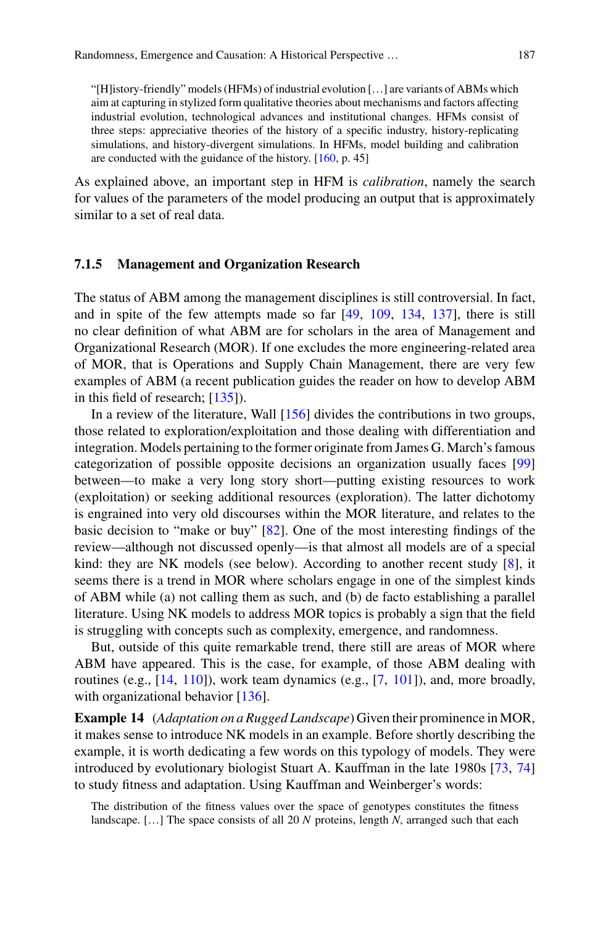"[H]istory-friendly" models (HFMs) of industrial evolution […] are variants of ABMs which aim at capturing in stylized form qualitative theories about mechanisms and factors affecting industrial evolution, technological advances and institutional changes. HFMs consist of three steps: appreciative theories of the history of a specific industry, history-replicating simulations, and history-divergent simulations. In HFMs, model building and calibration are conducted with the guidance of the history. [\[160,](#page-32-3) p. 45]

As explained above, an important step in HFM is *calibration*, namely the search for values of the parameters of the model producing an output that is approximately similar to a set of real data.

#### **7.1.5 Management and Organization Research**

The status of ABM among the management disciplines is still controversial. In fact, and in spite of the few attempts made so far [\[49,](#page-27-21) [109](#page-30-27), [134](#page-31-14), [137\]](#page-31-20), there is still no clear definition of what ABM are for scholars in the area of Management and Organizational Research (MOR). If one excludes the more engineering-related area of MOR, that is Operations and Supply Chain Management, there are very few examples of ABM (a recent publication guides the reader on how to develop ABM in this field of research; [\[135](#page-31-21)]).

In a review of the literature, Wall [\[156](#page-32-4)] divides the contributions in two groups, those related to exploration/exploitation and those dealing with differentiation and integration. Models pertaining to the former originate from James G. March's famous categorization of possible opposite decisions an organization usually faces [\[99\]](#page-29-22) between—to make a very long story short—putting existing resources to work (exploitation) or seeking additional resources (exploration). The latter dichotomy is engrained into very old discourses within the MOR literature, and relates to the basic decision to "make or buy" [\[82\]](#page-29-23). One of the most interesting findings of the review—although not discussed openly—is that almost all models are of a special kind: they are NK models (see below). According to another recent study  $[8]$  $[8]$ , it seems there is a trend in MOR where scholars engage in one of the simplest kinds of ABM while (a) not calling them as such, and (b) de facto establishing a parallel literature. Using NK models to address MOR topics is probably a sign that the field is struggling with concepts such as complexity, emergence, and randomness.

But, outside of this quite remarkable trend, there still are areas of MOR where ABM have appeared. This is the case, for example, of those ABM dealing with routines (e.g.,  $[14, 110]$  $[14, 110]$  $[14, 110]$  $[14, 110]$ ), work team dynamics (e.g.,  $[7, 101]$  $[7, 101]$  $[7, 101]$ ), and, more broadly, with organizational behavior [\[136](#page-31-17)].

**Example 14** (*Adaptation on a Rugged Landscape*) Given their prominence in MOR, it makes sense to introduce NK models in an example. Before shortly describing the example, it is worth dedicating a few words on this typology of models. They were introduced by evolutionary biologist Stuart A. Kauffman in the late 1980s [\[73,](#page-28-20) [74\]](#page-28-21) to study fitness and adaptation. Using Kauffman and Weinberger's words:

The distribution of the fitness values over the space of genotypes constitutes the fitness landscape. […] The space consists of all 20 *N* proteins, length *N*, arranged such that each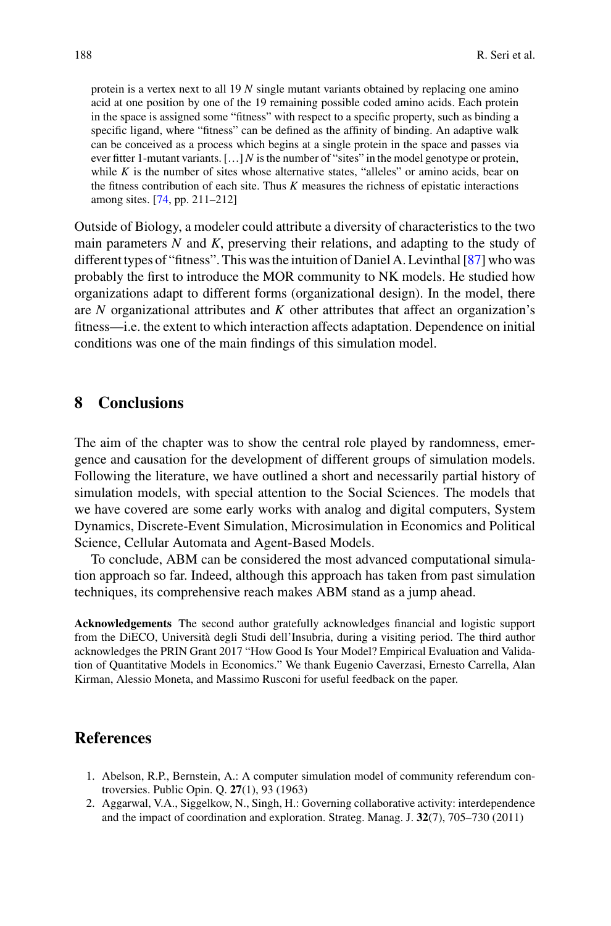protein is a vertex next to all 19 *N* single mutant variants obtained by replacing one amino acid at one position by one of the 19 remaining possible coded amino acids. Each protein in the space is assigned some "fitness" with respect to a specific property, such as binding a specific ligand, where "fitness" can be defined as the affinity of binding. An adaptive walk can be conceived as a process which begins at a single protein in the space and passes via ever fitter 1-mutant variants. […] *N* is the number of "sites" in the model genotype or protein, while  $K$  is the number of sites whose alternative states, "alleles" or amino acids, bear on the fitness contribution of each site. Thus *K* measures the richness of epistatic interactions among sites. [\[74](#page-28-21), pp. 211–212]

Outside of Biology, a modeler could attribute a diversity of characteristics to the two main parameters *N* and *K*, preserving their relations, and adapting to the study of different types of "fitness". This was the intuition of Daniel A. Levinthal [\[87](#page-29-25)] who was probably the first to introduce the MOR community to NK models. He studied how organizations adapt to different forms (organizational design). In the model, there are *N* organizational attributes and *K* other attributes that affect an organization's fitness—i.e. the extent to which interaction affects adaptation. Dependence on initial conditions was one of the main findings of this simulation model.

# <span id="page-25-0"></span>**8 Conclusions**

The aim of the chapter was to show the central role played by randomness, emergence and causation for the development of different groups of simulation models. Following the literature, we have outlined a short and necessarily partial history of simulation models, with special attention to the Social Sciences. The models that we have covered are some early works with analog and digital computers, System Dynamics, Discrete-Event Simulation, Microsimulation in Economics and Political Science, Cellular Automata and Agent-Based Models.

To conclude, ABM can be considered the most advanced computational simulation approach so far. Indeed, although this approach has taken from past simulation techniques, its comprehensive reach makes ABM stand as a jump ahead.

**Acknowledgements** The second author gratefully acknowledges financial and logistic support from the DiECO, Università degli Studi dell'Insubria, during a visiting period. The third author acknowledges the PRIN Grant 2017 "How Good Is Your Model? Empirical Evaluation and Validation of Quantitative Models in Economics." We thank Eugenio Caverzasi, Ernesto Carrella, Alan Kirman, Alessio Moneta, and Massimo Rusconi for useful feedback on the paper.

### **References**

- <span id="page-25-1"></span>1. Abelson, R.P., Bernstein, A.: A computer simulation model of community referendum controversies. Public Opin. Q. **27**(1), 93 (1963)
- <span id="page-25-2"></span>2. Aggarwal, V.A., Siggelkow, N., Singh, H.: Governing collaborative activity: interdependence and the impact of coordination and exploration. Strateg. Manag. J. **32**(7), 705–730 (2011)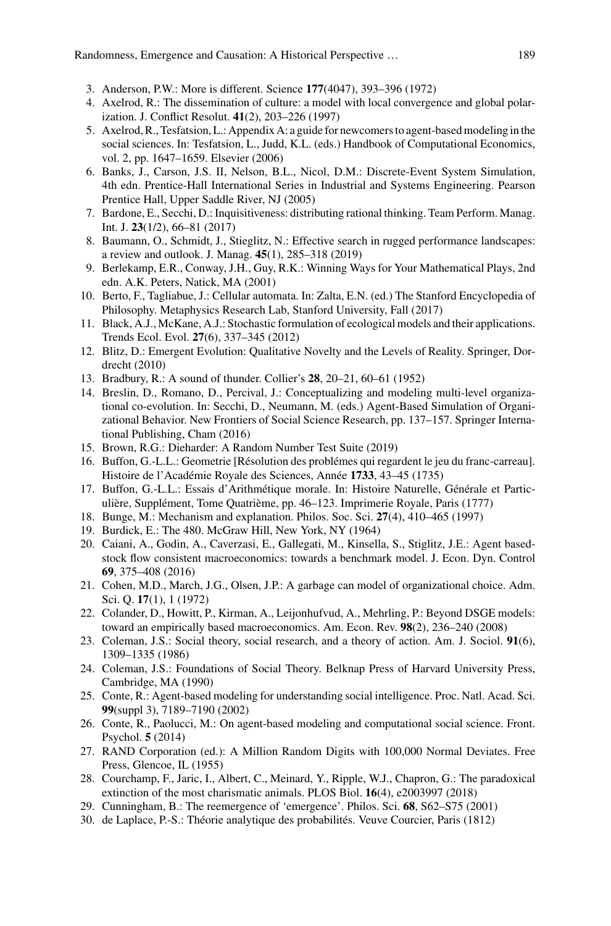- <span id="page-26-7"></span>3. Anderson, P.W.: More is different. Science **177**(4047), 393–396 (1972)
- <span id="page-26-17"></span>4. Axelrod, R.: The dissemination of culture: a model with local convergence and global polarization. J. Conflict Resolut. **41**(2), 203–226 (1997)
- <span id="page-26-21"></span>5. Axelrod, R., Tesfatsion, L.: Appendix A: a guide for newcomers to agent-based modeling in the social sciences. In: Tesfatsion, L., Judd, K.L. (eds.) Handbook of Computational Economics, vol. 2, pp. 1647–1659. Elsevier (2006)
- <span id="page-26-9"></span>6. Banks, J., Carson, J.S. II, Nelson, B.L., Nicol, D.M.: Discrete-Event System Simulation, 4th edn. Prentice-Hall International Series in Industrial and Systems Engineering. Pearson Prentice Hall, Upper Saddle River, NJ (2005)
- <span id="page-26-18"></span>7. Bardone, E., Secchi, D.: Inquisitiveness: distributing rational thinking. Team Perform. Manag. Int. J. **23**(1/2), 66–81 (2017)
- <span id="page-26-26"></span>8. Baumann, O., Schmidt, J., Stieglitz, N.: Effective search in rugged performance landscapes: a review and outlook. J. Manag. **45**(1), 285–318 (2019)
- <span id="page-26-15"></span>9. Berlekamp, E.R., Conway, J.H., Guy, R.K.: Winning Ways for Your Mathematical Plays, 2nd edn. A.K. Peters, Natick, MA (2001)
- <span id="page-26-14"></span>10. Berto, F., Tagliabue, J.: Cellular automata. In: Zalta, E.N. (ed.) The Stanford Encyclopedia of Philosophy. Metaphysics Research Lab, Stanford University, Fall (2017)
- <span id="page-26-22"></span>11. Black, A.J., McKane, A.J.: Stochastic formulation of ecological models and their applications. Trends Ecol. Evol. **27**(6), 337–345 (2012)
- <span id="page-26-8"></span>12. Blitz, D.: Emergent Evolution: Qualitative Novelty and the Levels of Reality. Springer, Dordrecht (2010)
- <span id="page-26-6"></span>13. Bradbury, R.: A sound of thunder. Collier's **28**, 20–21, 60–61 (1952)
- <span id="page-26-27"></span>14. Breslin, D., Romano, D., Percival, J.: Conceptualizing and modeling multi-level organizational co-evolution. In: Secchi, D., Neumann, M. (eds.) Agent-Based Simulation of Organizational Behavior. New Frontiers of Social Science Research, pp. 137–157. Springer International Publishing, Cham (2016)
- <span id="page-26-4"></span>15. Brown, R.G.: Dieharder: A Random Number Test Suite (2019)
- <span id="page-26-1"></span>16. Buffon, G.-L.L.: Geometrie [Résolution des problémes qui regardent le jeu du franc-carreau]. Histoire de l'Académie Royale des Sciences, Année **1733**, 43–45 (1735)
- <span id="page-26-2"></span>17. Buffon, G.-L.L.: Essais d'Arithmétique morale. In: Histoire Naturelle, Générale et Particulière, Supplément, Tome Quatrième, pp. 46–123. Imprimerie Royale, Paris (1777)
- <span id="page-26-11"></span>18. Bunge, M.: Mechanism and explanation. Philos. Soc. Sci. **27**(4), 410–465 (1997)
- <span id="page-26-13"></span>19. Burdick, E.: The 480. McGraw Hill, New York, NY (1964)
- <span id="page-26-24"></span>20. Caiani, A., Godin, A., Caverzasi, E., Gallegati, M., Kinsella, S., Stiglitz, J.E.: Agent basedstock flow consistent macroeconomics: towards a benchmark model. J. Econ. Dyn. Control **69**, 375–408 (2016)
- <span id="page-26-16"></span>21. Cohen, M.D., March, J.G., Olsen, J.P.: A garbage can model of organizational choice. Adm. Sci. Q. **17**(1), 1 (1972)
- <span id="page-26-25"></span>22. Colander, D., Howitt, P., Kirman, A., Leijonhufvud, A., Mehrling, P.: Beyond DSGE models: toward an empirically based macroeconomics. Am. Econ. Rev. **98**(2), 236–240 (2008)
- <span id="page-26-12"></span>23. Coleman, J.S.: Social theory, social research, and a theory of action. Am. J. Sociol. **91**(6), 1309–1335 (1986)
- <span id="page-26-10"></span>24. Coleman, J.S.: Foundations of Social Theory. Belknap Press of Harvard University Press, Cambridge, MA (1990)
- <span id="page-26-19"></span>25. Conte, R.: Agent-based modeling for understanding social intelligence. Proc. Natl. Acad. Sci. **99**(suppl 3), 7189–7190 (2002)
- <span id="page-26-20"></span>26. Conte, R., Paolucci, M.: On agent-based modeling and computational social science. Front. Psychol. **5** (2014)
- <span id="page-26-5"></span>27. RAND Corporation (ed.): A Million Random Digits with 100,000 Normal Deviates. Free Press, Glencoe, IL (1955)
- <span id="page-26-23"></span>28. Courchamp, F., Jaric, I., Albert, C., Meinard, Y., Ripple, W.J., Chapron, G.: The paradoxical extinction of the most charismatic animals. PLOS Biol. **16**(4), e2003997 (2018)
- <span id="page-26-0"></span>29. Cunningham, B.: The reemergence of 'emergence'. Philos. Sci. **68**, S62–S75 (2001)
- <span id="page-26-3"></span>30. de Laplace, P.-S.: Théorie analytique des probabilités. Veuve Courcier, Paris (1812)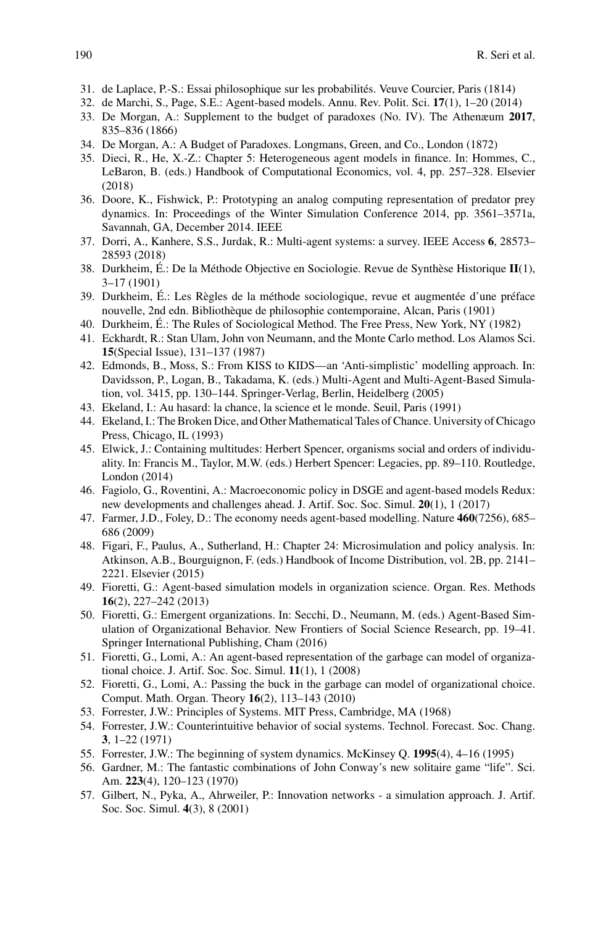- <span id="page-27-0"></span>31. de Laplace, P.-S.: Essai philosophique sur les probabilités. Veuve Courcier, Paris (1814)
- <span id="page-27-22"></span>32. de Marchi, S., Page, S.E.: Agent-based models. Annu. Rev. Polit. Sci. **17**(1), 1–20 (2014)
- <span id="page-27-4"></span>33. De Morgan, A.: Supplement to the budget of paradoxes (No. IV). The Athenæum **2017**, 835–836 (1866)
- <span id="page-27-5"></span>34. De Morgan, A.: A Budget of Paradoxes. Longmans, Green, and Co., London (1872)
- <span id="page-27-24"></span>35. Dieci, R., He, X.-Z.: Chapter 5: Heterogeneous agent models in finance. In: Hommes, C., LeBaron, B. (eds.) Handbook of Computational Economics, vol. 4, pp. 257–328. Elsevier (2018)
- <span id="page-27-8"></span>36. Doore, K., Fishwick, P.: Prototyping an analog computing representation of predator prey dynamics. In: Proceedings of the Winter Simulation Conference 2014, pp. 3561–3571a, Savannah, GA, December 2014. IEEE
- <span id="page-27-20"></span>37. Dorri, A., Kanhere, S.S., Jurdak, R.: Multi-agent systems: a survey. IEEE Access **6**, 28573– 28593 (2018)
- <span id="page-27-14"></span>38. Durkheim, É.: De la Méthode Objective en Sociologie. Revue de Synthèse Historique **II**(1), 3–17 (1901)
- <span id="page-27-11"></span>39. Durkheim, É.: Les Règles de la méthode sociologique, revue et augmentée d'une préface nouvelle, 2nd edn. Bibliothèque de philosophie contemporaine, Alcan, Paris (1901)
- <span id="page-27-12"></span>40. Durkheim, É.: The Rules of Sociological Method. The Free Press, New York, NY (1982)
- <span id="page-27-3"></span>41. Eckhardt, R.: Stan Ulam, John von Neumann, and the Monte Carlo method. Los Alamos Sci. **15**(Special Issue), 131–137 (1987)
- <span id="page-27-17"></span>42. Edmonds, B., Moss, S.: From KISS to KIDS—an 'Anti-simplistic' modelling approach. In: Davidsson, P., Logan, B., Takadama, K. (eds.) Multi-Agent and Multi-Agent-Based Simulation, vol. 3415, pp. 130–144. Springer-Verlag, Berlin, Heidelberg (2005)
- <span id="page-27-9"></span>43. Ekeland, I.: Au hasard: la chance, la science et le monde. Seuil, Paris (1991)
- <span id="page-27-10"></span>44. Ekeland, I.: The Broken Dice, and Other Mathematical Tales of Chance. University of Chicago Press, Chicago, IL (1993)
- <span id="page-27-13"></span>45. Elwick, J.: Containing multitudes: Herbert Spencer, organisms social and orders of individuality. In: Francis M., Taylor, M.W. (eds.) Herbert Spencer: Legacies, pp. 89–110. Routledge, London (2014)
- <span id="page-27-25"></span>46. Fagiolo, G., Roventini, A.: Macroeconomic policy in DSGE and agent-based models Redux: new developments and challenges ahead. J. Artif. Soc. Soc. Simul. **20**(1), 1 (2017)
- <span id="page-27-26"></span>47. Farmer, J.D., Foley, D.: The economy needs agent-based modelling. Nature **460**(7256), 685– 686 (2009)
- <span id="page-27-15"></span>48. Figari, F., Paulus, A., Sutherland, H.: Chapter 24: Microsimulation and policy analysis. In: Atkinson, A.B., Bourguignon, F. (eds.) Handbook of Income Distribution, vol. 2B, pp. 2141– 2221. Elsevier (2015)
- <span id="page-27-21"></span>49. Fioretti, G.: Agent-based simulation models in organization science. Organ. Res. Methods **16**(2), 227–242 (2013)
- <span id="page-27-1"></span>50. Fioretti, G.: Emergent organizations. In: Secchi, D., Neumann, M. (eds.) Agent-Based Simulation of Organizational Behavior. New Frontiers of Social Science Research, pp. 19–41. Springer International Publishing, Cham (2016)
- <span id="page-27-18"></span>51. Fioretti, G., Lomi, A.: An agent-based representation of the garbage can model of organizational choice. J. Artif. Soc. Soc. Simul. **11**(1), 1 (2008)
- <span id="page-27-19"></span>52. Fioretti, G., Lomi, A.: Passing the buck in the garbage can model of organizational choice. Comput. Math. Organ. Theory **16**(2), 113–143 (2010)
- <span id="page-27-6"></span>53. Forrester, J.W.: Principles of Systems. MIT Press, Cambridge, MA (1968)
- <span id="page-27-2"></span>54. Forrester, J.W.: Counterintuitive behavior of social systems. Technol. Forecast. Soc. Chang. **3**, 1–22 (1971)
- <span id="page-27-7"></span>55. Forrester, J.W.: The beginning of system dynamics. McKinsey Q. **1995**(4), 4–16 (1995)
- <span id="page-27-16"></span>56. Gardner, M.: The fantastic combinations of John Conway's new solitaire game "life". Sci. Am. **223**(4), 120–123 (1970)
- <span id="page-27-23"></span>57. Gilbert, N., Pyka, A., Ahrweiler, P.: Innovation networks - a simulation approach. J. Artif. Soc. Soc. Simul. **4**(3), 8 (2001)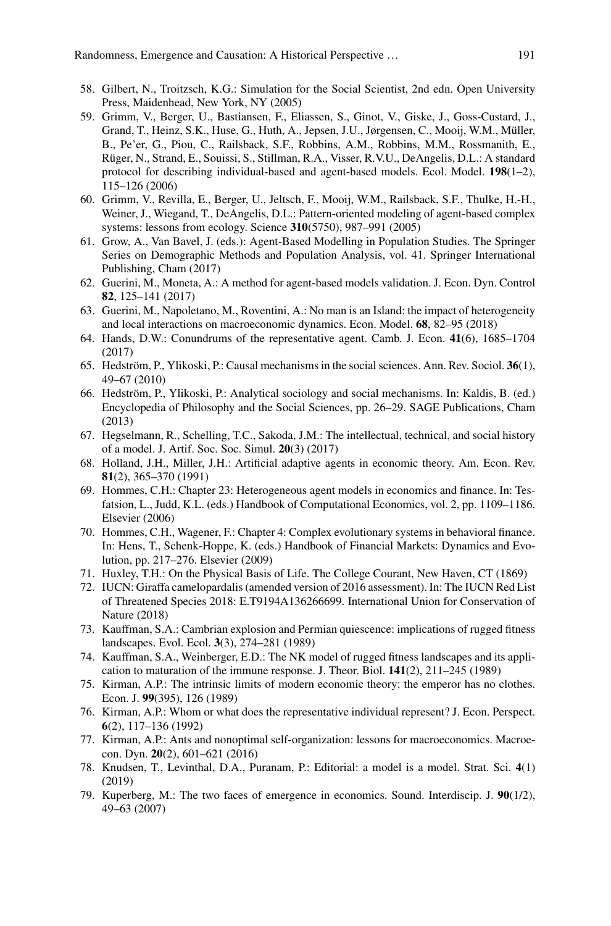- <span id="page-28-5"></span>58. Gilbert, N., Troitzsch, K.G.: Simulation for the Social Scientist, 2nd edn. Open University Press, Maidenhead, New York, NY (2005)
- <span id="page-28-9"></span>59. Grimm, V., Berger, U., Bastiansen, F., Eliassen, S., Ginot, V., Giske, J., Goss-Custard, J., Grand, T., Heinz, S.K., Huse, G., Huth, A., Jepsen, J.U., Jørgensen, C., Mooij, W.M., Müller, B., Pe'er, G., Piou, C., Railsback, S.F., Robbins, A.M., Robbins, M.M., Rossmanith, E., Rüger, N., Strand, E., Souissi, S., Stillman, R.A., Visser, R.V.U., DeAngelis, D.L.: A standard protocol for describing individual-based and agent-based models. Ecol. Model. **198**(1–2), 115–126 (2006)
- <span id="page-28-10"></span>60. Grimm, V., Revilla, E., Berger, U., Jeltsch, F., Mooij, W.M., Railsback, S.F., Thulke, H.-H., Weiner, J., Wiegand, T., DeAngelis, D.L.: Pattern-oriented modeling of agent-based complex systems: lessons from ecology. Science **310**(5750), 987–991 (2005)
- <span id="page-28-11"></span>61. Grow, A., Van Bavel, J. (eds.): Agent-Based Modelling in Population Studies. The Springer Series on Demographic Methods and Population Analysis, vol. 41. Springer International Publishing, Cham (2017)
- <span id="page-28-8"></span>62. Guerini, M., Moneta, A.: A method for agent-based models validation. J. Econ. Dyn. Control **82**, 125–141 (2017)
- <span id="page-28-18"></span>63. Guerini, M., Napoletano, M., Roventini, A.: No man is an Island: the impact of heterogeneity and local interactions on macroeconomic dynamics. Econ. Model. **68**, 82–95 (2018)
- <span id="page-28-7"></span>64. Hands, D.W.: Conundrums of the representative agent. Camb. J. Econ. **41**(6), 1685–1704 (2017)
- <span id="page-28-3"></span>65. Hedström, P., Ylikoski, P.: Causal mechanisms in the social sciences. Ann. Rev. Sociol. **36**(1), 49–67 (2010)
- <span id="page-28-4"></span>66. Hedström, P., Ylikoski, P.: Analytical sociology and social mechanisms. In: Kaldis, B. (ed.) Encyclopedia of Philosophy and the Social Sciences, pp. 26–29. SAGE Publications, Cham (2013)
- <span id="page-28-6"></span>67. Hegselmann, R., Schelling, T.C., Sakoda, J.M.: The intellectual, technical, and social history of a model. J. Artif. Soc. Soc. Simul. **20**(3) (2017)
- <span id="page-28-13"></span>68. Holland, J.H., Miller, J.H.: Artificial adaptive agents in economic theory. Am. Econ. Rev. **81**(2), 365–370 (1991)
- <span id="page-28-16"></span>69. Hommes, C.H.: Chapter 23: Heterogeneous agent models in economics and finance. In: Tesfatsion, L., Judd, K.L. (eds.) Handbook of Computational Economics, vol. 2, pp. 1109–1186. Elsevier (2006)
- <span id="page-28-17"></span>70. Hommes, C.H., Wagener, F.: Chapter 4: Complex evolutionary systems in behavioral finance. In: Hens, T., Schenk-Hoppe, K. (eds.) Handbook of Financial Markets: Dynamics and Evolution, pp. 217–276. Elsevier (2009)
- <span id="page-28-2"></span>71. Huxley, T.H.: On the Physical Basis of Life. The College Courant, New Haven, CT (1869)
- <span id="page-28-12"></span>72. IUCN: Giraffa camelopardalis (amended version of 2016 assessment). In: The IUCN Red List of Threatened Species 2018: E.T9194A136266699. International Union for Conservation of Nature (2018)
- <span id="page-28-20"></span>73. Kauffman, S.A.: Cambrian explosion and Permian quiescence: implications of rugged fitness landscapes. Evol. Ecol. **3**(3), 274–281 (1989)
- <span id="page-28-21"></span>74. Kauffman, S.A., Weinberger, E.D.: The NK model of rugged fitness landscapes and its application to maturation of the immune response. J. Theor. Biol. **141**(2), 211–245 (1989)
- <span id="page-28-14"></span>75. Kirman, A.P.: The intrinsic limits of modern economic theory: the emperor has no clothes. Econ. J. **99**(395), 126 (1989)
- <span id="page-28-15"></span>76. Kirman, A.P.: Whom or what does the representative individual represent? J. Econ. Perspect. **6**(2), 117–136 (1992)
- <span id="page-28-19"></span>77. Kirman, A.P.: Ants and nonoptimal self-organization: lessons for macroeconomics. Macroecon. Dyn. **20**(2), 601–621 (2016)
- <span id="page-28-0"></span>78. Knudsen, T., Levinthal, D.A., Puranam, P.: Editorial: a model is a model. Strat. Sci. **4**(1) (2019)
- <span id="page-28-1"></span>79. Kuperberg, M.: The two faces of emergence in economics. Sound. Interdiscip. J. **90**(1/2), 49–63 (2007)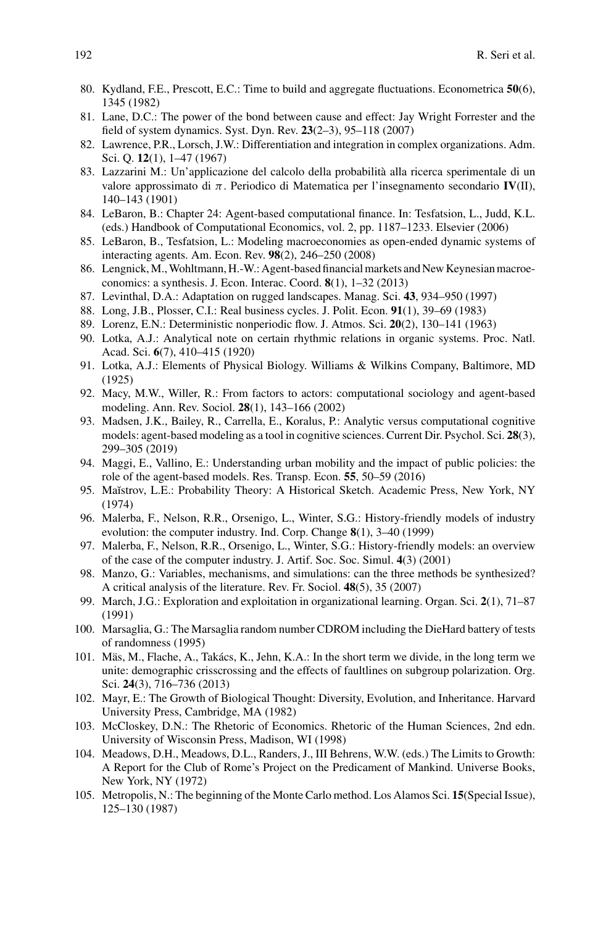- <span id="page-29-12"></span>80. Kydland, F.E., Prescott, E.C.: Time to build and aggregate fluctuations. Econometrica **50**(6), 1345 (1982)
- <span id="page-29-4"></span>81. Lane, D.C.: The power of the bond between cause and effect: Jay Wright Forrester and the field of system dynamics. Syst. Dyn. Rev. **23**(2–3), 95–118 (2007)
- <span id="page-29-23"></span>82. Lawrence, P.R., Lorsch, J.W.: Differentiation and integration in complex organizations. Adm. Sci. Q. **12**(1), 1–47 (1967)
- <span id="page-29-2"></span>83. Lazzarini M.: Un'applicazione del calcolo della probabilità alla ricerca sperimentale di un valore approssimato di π. Periodico di Matematica per l'insegnamento secondario **IV**(II), 140–143 (1901)
- <span id="page-29-18"></span>84. LeBaron, B.: Chapter 24: Agent-based computational finance. In: Tesfatsion, L., Judd, K.L. (eds.) Handbook of Computational Economics, vol. 2, pp. 1187–1233. Elsevier (2006)
- <span id="page-29-16"></span>85. LeBaron, B., Tesfatsion, L.: Modeling macroeconomies as open-ended dynamic systems of interacting agents. Am. Econ. Rev. **98**(2), 246–250 (2008)
- <span id="page-29-21"></span>86. Lengnick,M.,Wohltmann, H.-W.: Agent-based financial markets and New Keynesian macroeconomics: a synthesis. J. Econ. Interac. Coord. **8**(1), 1–32 (2013)
- <span id="page-29-25"></span>87. Levinthal, D.A.: Adaptation on rugged landscapes. Manag. Sci. **43**, 934–950 (1997)
- <span id="page-29-13"></span>88. Long, J.B., Plosser, C.I.: Real business cycles. J. Polit. Econ. **91**(1), 39–69 (1983)
- <span id="page-29-8"></span>89. Lorenz, E.N.: Deterministic nonperiodic flow. J. Atmos. Sci. **20**(2), 130–141 (1963)
- <span id="page-29-5"></span>90. Lotka, A.J.: Analytical note on certain rhythmic relations in organic systems. Proc. Natl. Acad. Sci. **6**(7), 410–415 (1920)
- <span id="page-29-6"></span>91. Lotka, A.J.: Elements of Physical Biology. Williams & Wilkins Company, Baltimore, MD (1925)
- <span id="page-29-11"></span>92. Macy, M.W., Willer, R.: From factors to actors: computational sociology and agent-based modeling. Ann. Rev. Sociol. **28**(1), 143–166 (2002)
- <span id="page-29-14"></span>93. Madsen, J.K., Bailey, R., Carrella, E., Koralus, P.: Analytic versus computational cognitive models: agent-based modeling as a tool in cognitive sciences. Current Dir. Psychol. Sci. **28**(3), 299–305 (2019)
- <span id="page-29-15"></span>94. Maggi, E., Vallino, E.: Understanding urban mobility and the impact of public policies: the role of the agent-based models. Res. Transp. Econ. **55**, 50–59 (2016)
- <span id="page-29-1"></span>95. Maĭstrov, L.E.: Probability Theory: A Historical Sketch. Academic Press, New York, NY (1974)
- <span id="page-29-19"></span>96. Malerba, F., Nelson, R.R., Orsenigo, L., Winter, S.G.: History-friendly models of industry evolution: the computer industry. Ind. Corp. Change **8**(1), 3–40 (1999)
- <span id="page-29-20"></span>97. Malerba, F., Nelson, R.R., Orsenigo, L., Winter, S.G.: History-friendly models: an overview of the case of the computer industry. J. Artif. Soc. Soc. Simul. **4**(3) (2001)
- <span id="page-29-10"></span>98. Manzo, G.: Variables, mechanisms, and simulations: can the three methods be synthesized? A critical analysis of the literature. Rev. Fr. Sociol. **48**(5), 35 (2007)
- <span id="page-29-22"></span>99. March, J.G.: Exploration and exploitation in organizational learning. Organ. Sci. **2**(1), 71–87 (1991)
- <span id="page-29-3"></span>100. Marsaglia, G.: The Marsaglia random number CDROM including the DieHard battery of tests of randomness (1995)
- <span id="page-29-24"></span>101. Mäs, M., Flache, A., Takács, K., Jehn, K.A.: In the short term we divide, in the long term we unite: demographic crisscrossing and the effects of faultlines on subgroup polarization. Org. Sci. **24**(3), 716–736 (2013)
- <span id="page-29-9"></span>102. Mayr, E.: The Growth of Biological Thought: Diversity, Evolution, and Inheritance. Harvard University Press, Cambridge, MA (1982)
- <span id="page-29-17"></span>103. McCloskey, D.N.: The Rhetoric of Economics. Rhetoric of the Human Sciences, 2nd edn. University of Wisconsin Press, Madison, WI (1998)
- <span id="page-29-7"></span>104. Meadows, D.H., Meadows, D.L., Randers, J., III Behrens, W.W. (eds.) The Limits to Growth: A Report for the Club of Rome's Project on the Predicament of Mankind. Universe Books, New York, NY (1972)
- <span id="page-29-0"></span>105. Metropolis, N.: The beginning of the Monte Carlo method. Los Alamos Sci. **15**(Special Issue), 125–130 (1987)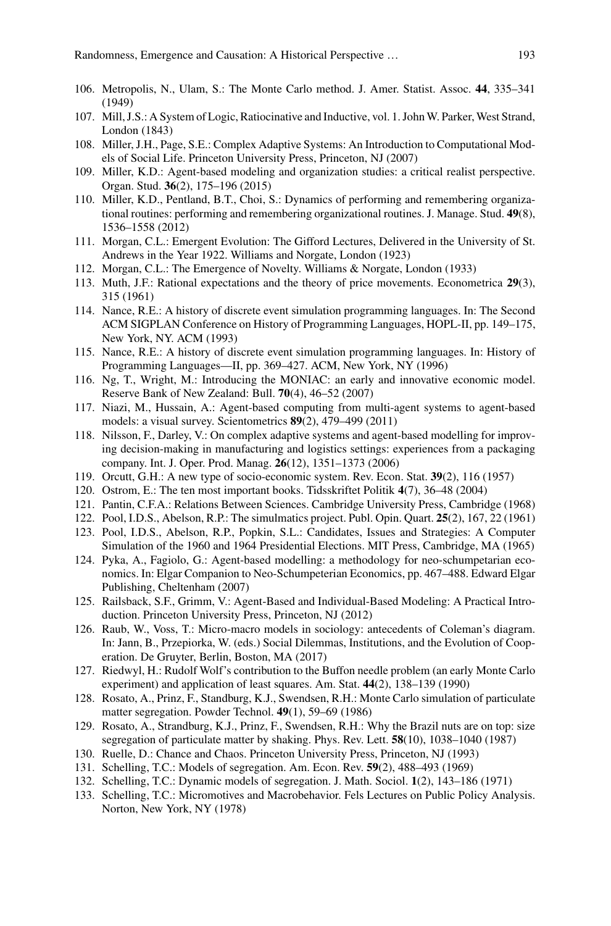- <span id="page-30-0"></span>106. Metropolis, N., Ulam, S.: The Monte Carlo method. J. Amer. Statist. Assoc. **44**, 335–341 (1949)
- <span id="page-30-4"></span>107. Mill, J.S.: A System of Logic, Ratiocinative and Inductive, vol. 1. John W. Parker, West Strand, London (1843)
- <span id="page-30-21"></span>108. Miller, J.H., Page, S.E.: Complex Adaptive Systems: An Introduction to Computational Models of Social Life. Princeton University Press, Princeton, NJ (2007)
- <span id="page-30-27"></span>109. Miller, K.D.: Agent-based modeling and organization studies: a critical realist perspective. Organ. Stud. **36**(2), 175–196 (2015)
- <span id="page-30-20"></span>110. Miller, K.D., Pentland, B.T., Choi, S.: Dynamics of performing and remembering organizational routines: performing and remembering organizational routines. J. Manage. Stud. **49**(8), 1536–1558 (2012)
- <span id="page-30-8"></span>111. Morgan, C.L.: Emergent Evolution: The Gifford Lectures, Delivered in the University of St. Andrews in the Year 1922. Williams and Norgate, London (1923)
- <span id="page-30-10"></span>112. Morgan, C.L.: The Emergence of Novelty. Williams & Norgate, London (1933)
- <span id="page-30-26"></span>113. Muth, J.F.: Rational expectations and the theory of price movements. Econometrica **29**(3), 315 (1961)
- <span id="page-30-7"></span>114. Nance, R.E.: A history of discrete event simulation programming languages. In: The Second ACM SIGPLAN Conference on History of Programming Languages, HOPL-II, pp. 149–175, New York, NY. ACM (1993)
- <span id="page-30-6"></span>115. Nance, R.E.: A history of discrete event simulation programming languages. In: History of Programming Languages—II, pp. 369–427. ACM, New York, NY (1996)
- <span id="page-30-2"></span>116. Ng, T., Wright, M.: Introducing the MONIAC: an early and innovative economic model. Reserve Bank of New Zealand: Bull. **70**(4), 46–52 (2007)
- <span id="page-30-19"></span>117. Niazi, M., Hussain, A.: Agent-based computing from multi-agent systems to agent-based models: a visual survey. Scientometrics **89**(2), 479–499 (2011)
- <span id="page-30-22"></span>118. Nilsson, F., Darley, V.: On complex adaptive systems and agent-based modelling for improving decision-making in manufacturing and logistics settings: experiences from a packaging company. Int. J. Oper. Prod. Manag. **26**(12), 1351–1373 (2006)
- <span id="page-30-11"></span>119. Orcutt, G.H.: A new type of socio-economic system. Rev. Econ. Stat. **39**(2), 116 (1957)
- <span id="page-30-5"></span>120. Ostrom, E.: The ten most important books. Tidsskriftet Politik **4**(7), 36–48 (2004)
- <span id="page-30-9"></span>121. Pantin, C.F.A.: Relations Between Sciences. Cambridge University Press, Cambridge (1968)
- <span id="page-30-13"></span>122. Pool, I.D.S., Abelson, R.P.: The simulmatics project. Publ. Opin. Quart. **25**(2), 167, 22 (1961)
- <span id="page-30-14"></span>123. Pool, I.D.S., Abelson, R.P., Popkin, S.L.: Candidates, Issues and Strategies: A Computer Simulation of the 1960 and 1964 Presidential Elections. MIT Press, Cambridge, MA (1965)
- <span id="page-30-25"></span>124. Pyka, A., Fagiolo, G.: Agent-based modelling: a methodology for neo-schumpetarian economics. In: Elgar Companion to Neo-Schumpeterian Economics, pp. 467–488. Edward Elgar Publishing, Cheltenham (2007)
- <span id="page-30-18"></span>125. Railsback, S.F., Grimm, V.: Agent-Based and Individual-Based Modeling: A Practical Introduction. Princeton University Press, Princeton, NJ (2012)
- <span id="page-30-12"></span>126. Raub, W., Voss, T.: Micro-macro models in sociology: antecedents of Coleman's diagram. In: Jann, B., Przepiorka, W. (eds.) Social Dilemmas, Institutions, and the Evolution of Cooperation. De Gruyter, Berlin, Boston, MA (2017)
- <span id="page-30-1"></span>127. Riedwyl, H.: Rudolf Wolf's contribution to the Buffon needle problem (an early Monte Carlo experiment) and application of least squares. Am. Stat. **44**(2), 138–139 (1990)
- <span id="page-30-23"></span>128. Rosato, A., Prinz, F., Standburg, K.J., Swendsen, R.H.: Monte Carlo simulation of particulate matter segregation. Powder Technol. **49**(1), 59–69 (1986)
- <span id="page-30-24"></span>129. Rosato, A., Strandburg, K.J., Prinz, F., Swendsen, R.H.: Why the Brazil nuts are on top: size segregation of particulate matter by shaking. Phys. Rev. Lett. **58**(10), 1038–1040 (1987)
- <span id="page-30-3"></span>130. Ruelle, D.: Chance and Chaos. Princeton University Press, Princeton, NJ (1993)
- <span id="page-30-15"></span>131. Schelling, T.C.: Models of segregation. Am. Econ. Rev. **59**(2), 488–493 (1969)
- <span id="page-30-16"></span>132. Schelling, T.C.: Dynamic models of segregation. J. Math. Sociol. **1**(2), 143–186 (1971)
- <span id="page-30-17"></span>133. Schelling, T.C.: Micromotives and Macrobehavior. Fels Lectures on Public Policy Analysis. Norton, New York, NY (1978)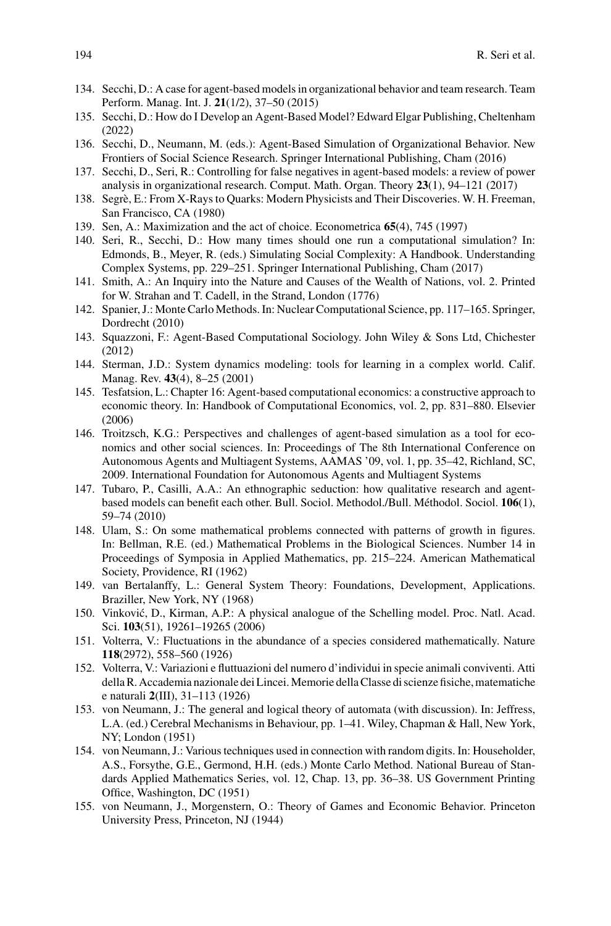- <span id="page-31-14"></span>134. Secchi, D.: A case for agent-based models in organizational behavior and team research. Team Perform. Manag. Int. J. **21**(1/2), 37–50 (2015)
- <span id="page-31-21"></span>135. Secchi, D.: How do I Develop an Agent-Based Model? Edward Elgar Publishing, Cheltenham (2022)
- <span id="page-31-17"></span>136. Secchi, D., Neumann, M. (eds.): Agent-Based Simulation of Organizational Behavior. New Frontiers of Social Science Research. Springer International Publishing, Cham (2016)
- <span id="page-31-20"></span>137. Secchi, D., Seri, R.: Controlling for false negatives in agent-based models: a review of power analysis in organizational research. Comput. Math. Organ. Theory **23**(1), 94–121 (2017)
- <span id="page-31-2"></span>138. Segrè, E.: From X-Rays to Quarks: Modern Physicists and Their Discoveries. W. H. Freeman, San Francisco, CA (1980)
- <span id="page-31-19"></span>139. Sen, A.: Maximization and the act of choice. Econometrica **65**(4), 745 (1997)
- <span id="page-31-9"></span>140. Seri, R., Secchi, D.: How many times should one run a computational simulation? In: Edmonds, B., Meyer, R. (eds.) Simulating Social Complexity: A Handbook. Understanding Complex Systems, pp. 229–251. Springer International Publishing, Cham (2017)
- <span id="page-31-7"></span>141. Smith, A.: An Inquiry into the Nature and Causes of the Wealth of Nations, vol. 2. Printed for W. Strahan and T. Cadell, in the Strand, London (1776)
- <span id="page-31-0"></span>142. Spanier, J.: Monte Carlo Methods. In: Nuclear Computational Science, pp. 117–165. Springer, Dordrecht (2010)
- <span id="page-31-15"></span>143. Squazzoni, F.: Agent-Based Computational Sociology. John Wiley & Sons Ltd, Chichester (2012)
- <span id="page-31-4"></span>144. Sterman, J.D.: System dynamics modeling: tools for learning in a complex world. Calif. Manag. Rev. **43**(4), 8–25 (2001)
- <span id="page-31-18"></span>145. Tesfatsion, L.: Chapter 16: Agent-based computational economics: a constructive approach to economic theory. In: Handbook of Computational Economics, vol. 2, pp. 831–880. Elsevier (2006)
- <span id="page-31-8"></span>146. Troitzsch, K.G.: Perspectives and challenges of agent-based simulation as a tool for economics and other social sciences. In: Proceedings of The 8th International Conference on Autonomous Agents and Multiagent Systems, AAMAS '09, vol. 1, pp. 35–42, Richland, SC, 2009. International Foundation for Autonomous Agents and Multiagent Systems
- <span id="page-31-16"></span>147. Tubaro, P., Casilli, A.A.: An ethnographic seduction: how qualitative research and agentbased models can benefit each other. Bull. Sociol. Methodol./Bull. Méthodol. Sociol. **106**(1), 59–74 (2010)
- <span id="page-31-11"></span>148. Ulam, S.: On some mathematical problems connected with patterns of growth in figures. In: Bellman, R.E. (ed.) Mathematical Problems in the Biological Sciences. Number 14 in Proceedings of Symposia in Applied Mathematics, pp. 215–224. American Mathematical Society, Providence, RI (1962)
- <span id="page-31-3"></span>149. van Bertalanffy, L.: General System Theory: Foundations, Development, Applications. Braziller, New York, NY (1968)
- <span id="page-31-12"></span>150. Vinković, D., Kirman, A.P.: A physical analogue of the Schelling model. Proc. Natl. Acad. Sci. **103**(51), 19261–19265 (2006)
- <span id="page-31-5"></span>151. Volterra, V.: Fluctuations in the abundance of a species considered mathematically. Nature **118**(2972), 558–560 (1926)
- <span id="page-31-6"></span>152. Volterra, V.: Variazioni e fluttuazioni del numero d'individui in specie animali conviventi. Atti della R. Accademia nazionale dei Lincei. Memorie della Classe di scienze fisiche, matematiche e naturali **2**(III), 31–113 (1926)
- <span id="page-31-10"></span>153. von Neumann, J.: The general and logical theory of automata (with discussion). In: Jeffress, L.A. (ed.) Cerebral Mechanisms in Behaviour, pp. 1–41. Wiley, Chapman & Hall, New York, NY; London (1951)
- <span id="page-31-1"></span>154. von Neumann, J.: Various techniques used in connection with random digits. In: Householder, A.S., Forsythe, G.E., Germond, H.H. (eds.) Monte Carlo Method. National Bureau of Standards Applied Mathematics Series, vol. 12, Chap. 13, pp. 36–38. US Government Printing Office, Washington, DC (1951)
- <span id="page-31-13"></span>155. von Neumann, J., Morgenstern, O.: Theory of Games and Economic Behavior. Princeton University Press, Princeton, NJ (1944)